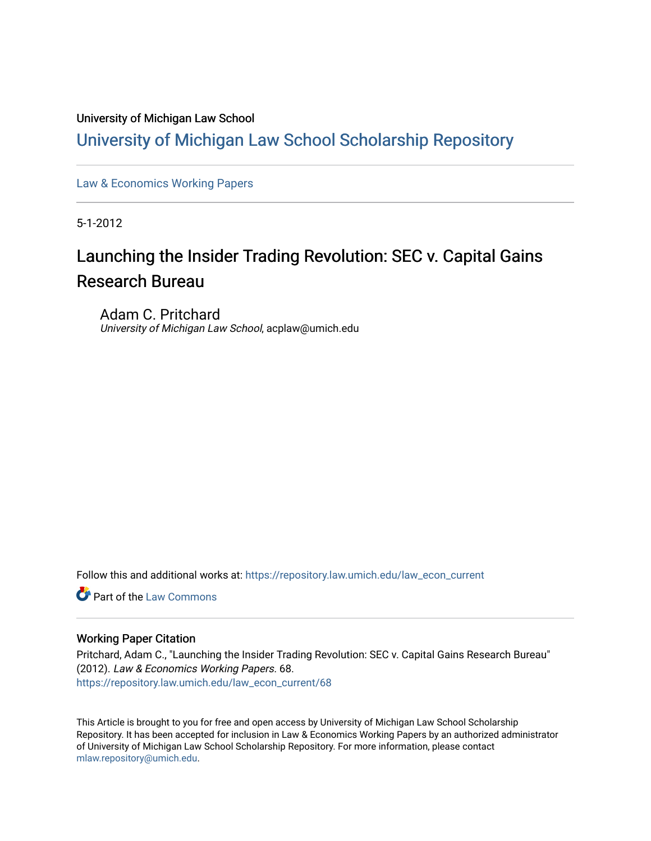## University of Michigan Law School

## [University of Michigan Law School Scholarship Repository](https://repository.law.umich.edu/)

[Law & Economics Working Papers](https://repository.law.umich.edu/law_econ_current)

5-1-2012

# Launching the Insider Trading Revolution: SEC v. Capital Gains Research Bureau

Adam C. Pritchard University of Michigan Law School, acplaw@umich.edu

Follow this and additional works at: [https://repository.law.umich.edu/law\\_econ\\_current](https://repository.law.umich.edu/law_econ_current?utm_source=repository.law.umich.edu%2Flaw_econ_current%2F68&utm_medium=PDF&utm_campaign=PDFCoverPages) 

**Part of the [Law Commons](http://network.bepress.com/hgg/discipline/578?utm_source=repository.law.umich.edu%2Flaw_econ_current%2F68&utm_medium=PDF&utm_campaign=PDFCoverPages)** 

## Working Paper Citation

Pritchard, Adam C., "Launching the Insider Trading Revolution: SEC v. Capital Gains Research Bureau" (2012). Law & Economics Working Papers. 68. [https://repository.law.umich.edu/law\\_econ\\_current/68](https://repository.law.umich.edu/law_econ_current/68?utm_source=repository.law.umich.edu%2Flaw_econ_current%2F68&utm_medium=PDF&utm_campaign=PDFCoverPages)

This Article is brought to you for free and open access by University of Michigan Law School Scholarship Repository. It has been accepted for inclusion in Law & Economics Working Papers by an authorized administrator of University of Michigan Law School Scholarship Repository. For more information, please contact [mlaw.repository@umich.edu.](mailto:mlaw.repository@umich.edu)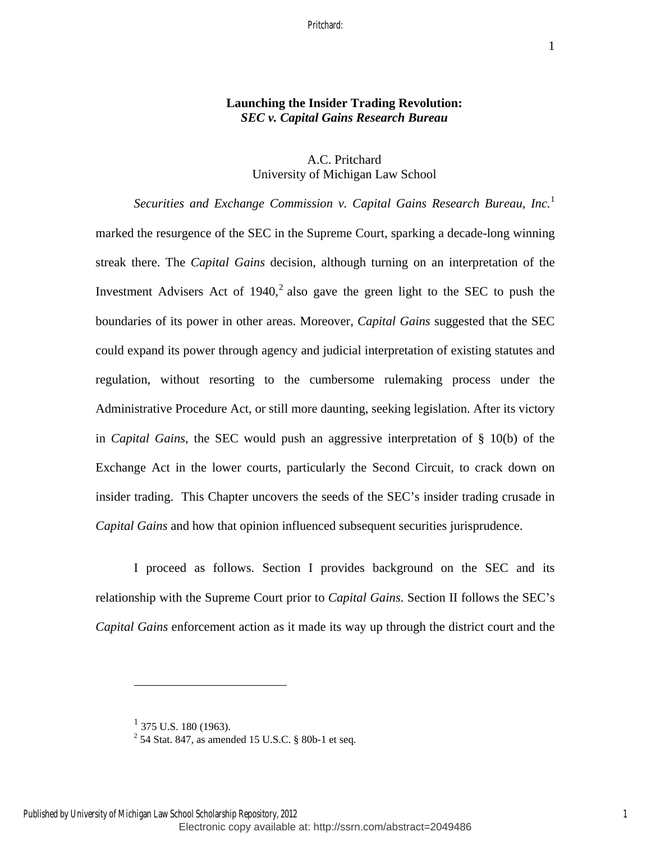## **Launching the Insider Trading Revolution:**  *SEC v. Capital Gains Research Bureau*

## A.C. Pritchard University of Michigan Law School

*Securities and Exchange Commission v. Capital Gains Research Bureau, Inc.*<sup>1</sup> marked the resurgence of the SEC in the Supreme Court, sparking a decade-long winning streak there. The *Capital Gains* decision, although turning on an interpretation of the Investment Advisers Act of  $1940$ , also gave the green light to the SEC to push the boundaries of its power in other areas. Moreover, *Capital Gains* suggested that the SEC could expand its power through agency and judicial interpretation of existing statutes and regulation, without resorting to the cumbersome rulemaking process under the Administrative Procedure Act, or still more daunting, seeking legislation. After its victory in *Capital Gains*, the SEC would push an aggressive interpretation of § 10(b) of the Exchange Act in the lower courts, particularly the Second Circuit, to crack down on insider trading. This Chapter uncovers the seeds of the SEC's insider trading crusade in *Capital Gains* and how that opinion influenced subsequent securities jurisprudence.

I proceed as follows. Section I provides background on the SEC and its relationship with the Supreme Court prior to *Capital Gains*. Section II follows the SEC's *Capital Gains* enforcement action as it made its way up through the district court and the

 $^{1}$  375 U.S. 180 (1963).

 $^{2}$  54 Stat. 847, as amended 15 U.S.C. § 80b-1 et seq.

Electronic copy available at: http://ssrn.com/abstract=2049486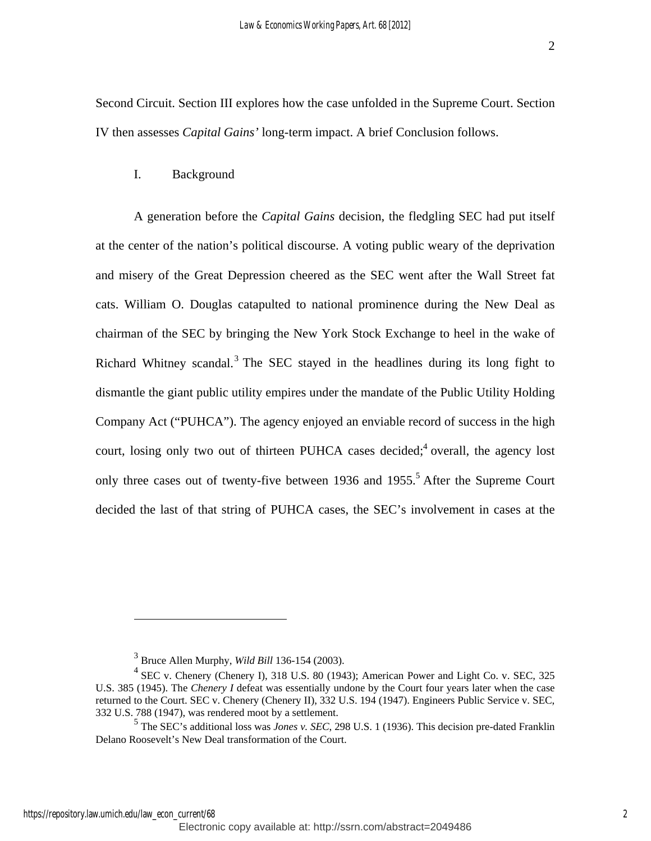Second Circuit. Section III explores how the case unfolded in the Supreme Court. Section IV then assesses *Capital Gains'* long-term impact. A brief Conclusion follows.

## I. Background

A generation before the *Capital Gains* decision, the fledgling SEC had put itself at the center of the nation's political discourse. A voting public weary of the deprivation and misery of the Great Depression cheered as the SEC went after the Wall Street fat cats. William O. Douglas catapulted to national prominence during the New Deal as chairman of the SEC by bringing the New York Stock Exchange to heel in the wake of Richard Whitney scandal.<sup>3</sup> The SEC stayed in the headlines during its long fight to dismantle the giant public utility empires under the mandate of the Public Utility Holding Company Act ("PUHCA"). The agency enjoyed an enviable record of success in the high court, losing only two out of thirteen PUHCA cases decided;<sup>4</sup> overall, the agency lost only three cases out of twenty-five between 1936 and 1955.<sup>5</sup> After the Supreme Court decided the last of that string of PUHCA cases, the SEC's involvement in cases at the

<sup>3</sup> Bruce Allen Murphy, *Wild Bill* 136-154 (2003).

<sup>&</sup>lt;sup>4</sup> SEC v. Chenery (Chenery I), 318 U.S. 80 (1943); American Power and Light Co. v. SEC, 325 U.S. 385 (1945). The *Chenery I* defeat was essentially undone by the Court four years later when the case returned to the Court. SEC v. Chenery (Chenery II), 332 U.S. 194 (1947). Engineers Public Service v. SEC, 332 U.S. 788 (1947), was rendered moot by a settlement.

<sup>5</sup> The SEC's additional loss was *Jones v. SEC*, 298 U.S. 1 (1936). This decision pre-dated Franklin Delano Roosevelt's New Deal transformation of the Court.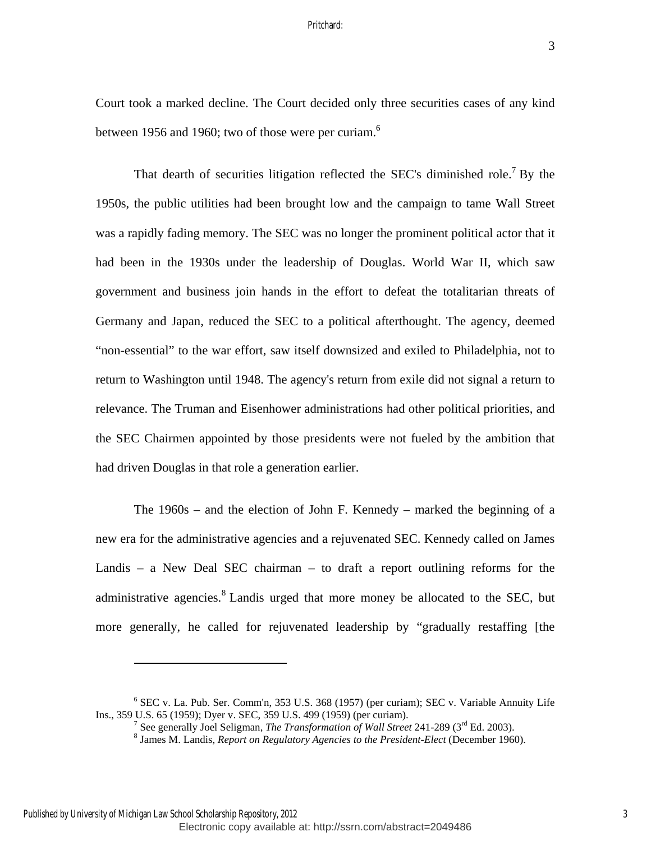Court took a marked decline. The Court decided only three securities cases of any kind between 1956 and 1960; two of those were per curiam.<sup>6</sup>

That dearth of securities litigation reflected the SEC's diminished role.<sup>7</sup> By the 1950s, the public utilities had been brought low and the campaign to tame Wall Street was a rapidly fading memory. The SEC was no longer the prominent political actor that it had been in the 1930s under the leadership of Douglas. World War II, which saw government and business join hands in the effort to defeat the totalitarian threats of Germany and Japan, reduced the SEC to a political afterthought. The agency, deemed "non-essential" to the war effort, saw itself downsized and exiled to Philadelphia, not to return to Washington until 1948. The agency's return from exile did not signal a return to relevance. The Truman and Eisenhower administrations had other political priorities, and the SEC Chairmen appointed by those presidents were not fueled by the ambition that had driven Douglas in that role a generation earlier.

The 1960s – and the election of John F. Kennedy – marked the beginning of a new era for the administrative agencies and a rejuvenated SEC. Kennedy called on James Landis – a New Deal SEC chairman – to draft a report outlining reforms for the administrative agencies.<sup>8</sup> Landis urged that more money be allocated to the SEC, but more generally, he called for rejuvenated leadership by "gradually restaffing [the

Published by University of Michigan Law School Scholarship Repository, 2012

<sup>&</sup>lt;sup>6</sup> SEC v. La. Pub. Ser. Comm'n, 353 U.S. 368 (1957) (per curiam); SEC v. Variable Annuity Life Ins., 359 U.S. 65 (1959); Dyer v. SEC, 359 U.S. 499 (1959) (per curiam). 7

<sup>&</sup>lt;sup>7</sup> See generally Joel Seligman, *The Transformation of Wall Street* 241-289 ( $3<sup>rd</sup>$  Ed. 2003).

James M. Landis, *Report on Regulatory Agencies to the President-Elect* (December 1960).

Electronic copy available at: http://ssrn.com/abstract=2049486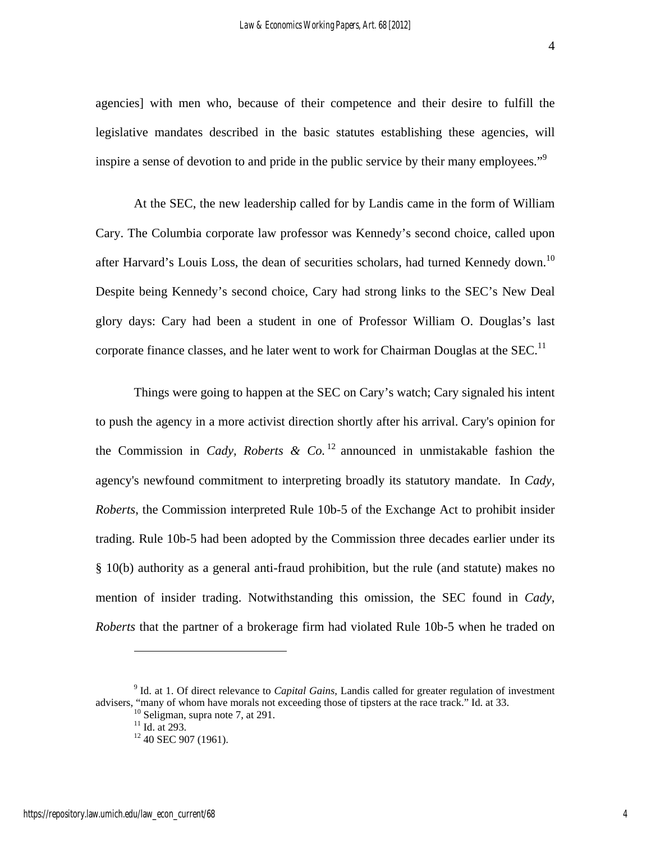agencies] with men who, because of their competence and their desire to fulfill the legislative mandates described in the basic statutes establishing these agencies, will inspire a sense of devotion to and pride in the public service by their many employees."<sup>9</sup>

At the SEC, the new leadership called for by Landis came in the form of William Cary. The Columbia corporate law professor was Kennedy's second choice, called upon after Harvard's Louis Loss, the dean of securities scholars, had turned Kennedy down.<sup>10</sup> Despite being Kennedy's second choice, Cary had strong links to the SEC's New Deal glory days: Cary had been a student in one of Professor William O. Douglas's last corporate finance classes, and he later went to work for Chairman Douglas at the SEC.<sup>11</sup>

Things were going to happen at the SEC on Cary's watch; Cary signaled his intent to push the agency in a more activist direction shortly after his arrival. Cary's opinion for the Commission in *Cady, Roberts & Co.*<sup>12</sup> announced in unmistakable fashion the agency's newfound commitment to interpreting broadly its statutory mandate. In *Cady, Roberts*, the Commission interpreted Rule 10b-5 of the Exchange Act to prohibit insider trading. Rule 10b-5 had been adopted by the Commission three decades earlier under its § 10(b) authority as a general anti-fraud prohibition, but the rule (and statute) makes no mention of insider trading. Notwithstanding this omission, the SEC found in *Cady, Roberts* that the partner of a brokerage firm had violated Rule 10b-5 when he traded on

<sup>&</sup>lt;sup>9</sup> Id. at 1. Of direct relevance to *Capital Gains*, Landis called for greater regulation of investment advisers, "many of whom have morals not exceeding those of tipsters at the race track." Id. at 33. <sup>10</sup> Seligman, supra note 7, at 291.

 $11$  Id. at 293.

<sup>&</sup>lt;sup>12</sup> 40 SEC 907 (1961).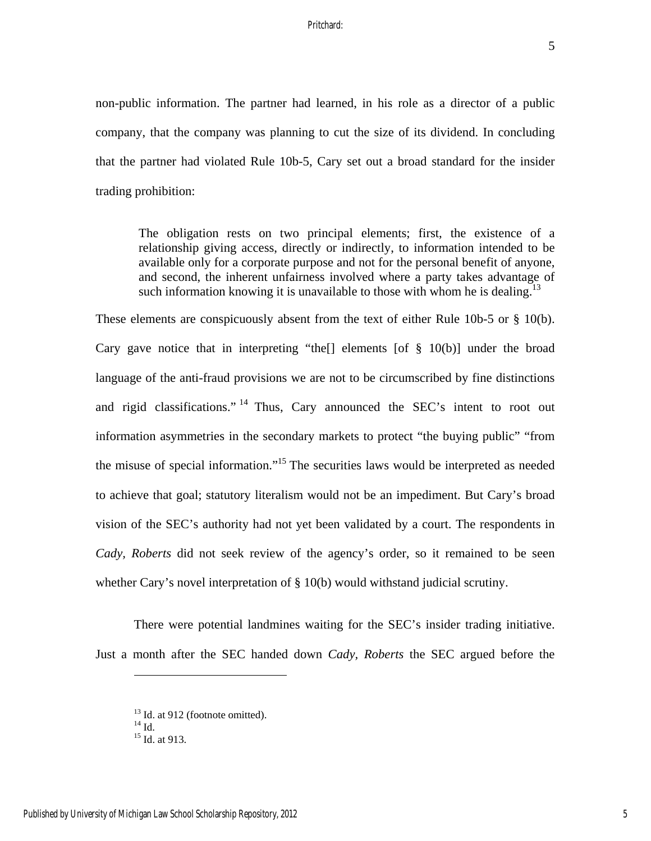non-public information. The partner had learned, in his role as a director of a public company, that the company was planning to cut the size of its dividend. In concluding that the partner had violated Rule 10b-5, Cary set out a broad standard for the insider trading prohibition:

The obligation rests on two principal elements; first, the existence of a relationship giving access, directly or indirectly, to information intended to be available only for a corporate purpose and not for the personal benefit of anyone, and second, the inherent unfairness involved where a party takes advantage of such information knowing it is unavailable to those with whom he is dealing.<sup>13</sup>

These elements are conspicuously absent from the text of either Rule 10b-5 or § 10(b). Cary gave notice that in interpreting "the<sup>[]</sup> elements [of  $\S$  10(b)] under the broad language of the anti-fraud provisions we are not to be circumscribed by fine distinctions and rigid classifications."<sup>14</sup> Thus, Cary announced the SEC's intent to root out information asymmetries in the secondary markets to protect "the buying public" "from the misuse of special information."15 The securities laws would be interpreted as needed to achieve that goal; statutory literalism would not be an impediment. But Cary's broad vision of the SEC's authority had not yet been validated by a court. The respondents in *Cady, Roberts* did not seek review of the agency's order, so it remained to be seen whether Cary's novel interpretation of § 10(b) would withstand judicial scrutiny.

There were potential landmines waiting for the SEC's insider trading initiative. Just a month after the SEC handed down *Cady, Roberts* the SEC argued before the

 $13$  Id. at 912 (footnote omitted).

 $14$  Id.

<sup>&</sup>lt;sup>15</sup> Id. at 913.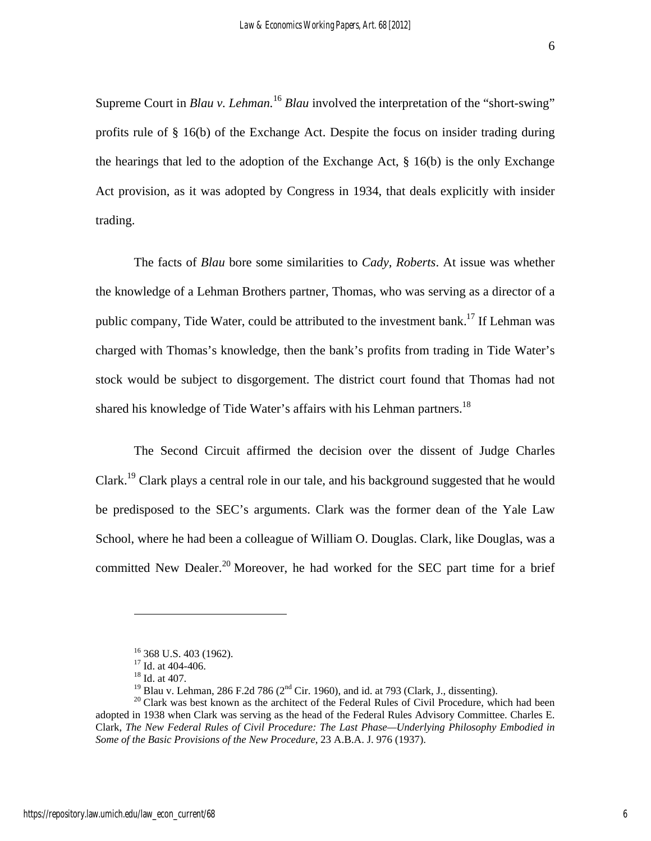Supreme Court in *Blau v. Lehman*.<sup>16</sup> *Blau* involved the interpretation of the "short-swing" profits rule of § 16(b) of the Exchange Act. Despite the focus on insider trading during the hearings that led to the adoption of the Exchange Act, § 16(b) is the only Exchange Act provision, as it was adopted by Congress in 1934, that deals explicitly with insider trading.

The facts of *Blau* bore some similarities to *Cady, Roberts*. At issue was whether the knowledge of a Lehman Brothers partner, Thomas, who was serving as a director of a public company, Tide Water, could be attributed to the investment bank.<sup>17</sup> If Lehman was charged with Thomas's knowledge, then the bank's profits from trading in Tide Water's stock would be subject to disgorgement. The district court found that Thomas had not shared his knowledge of Tide Water's affairs with his Lehman partners.<sup>18</sup>

The Second Circuit affirmed the decision over the dissent of Judge Charles Clark.19 Clark plays a central role in our tale, and his background suggested that he would be predisposed to the SEC's arguments. Clark was the former dean of the Yale Law School, where he had been a colleague of William O. Douglas. Clark, like Douglas, was a committed New Dealer.<sup>20</sup> Moreover, he had worked for the SEC part time for a brief

 $16$  368 U.S. 403 (1962).

<sup>&</sup>lt;sup>17</sup> Id. at 404-406.

<sup>&</sup>lt;sup>18</sup> Id. at 407.<br><sup>19</sup> Blau v. Lehman, 286 F.2d 786 (2<sup>nd</sup> Cir. 1960), and id. at 793 (Clark, J., dissenting).

<sup>&</sup>lt;sup>20</sup> Clark was best known as the architect of the Federal Rules of Civil Procedure, which had been adopted in 1938 when Clark was serving as the head of the Federal Rules Advisory Committee. Charles E. Clark, *The New Federal Rules of Civil Procedure: The Last Phase—Underlying Philosophy Embodied in Some of the Basic Provisions of the New Procedure*, 23 A.B.A. J. 976 (1937).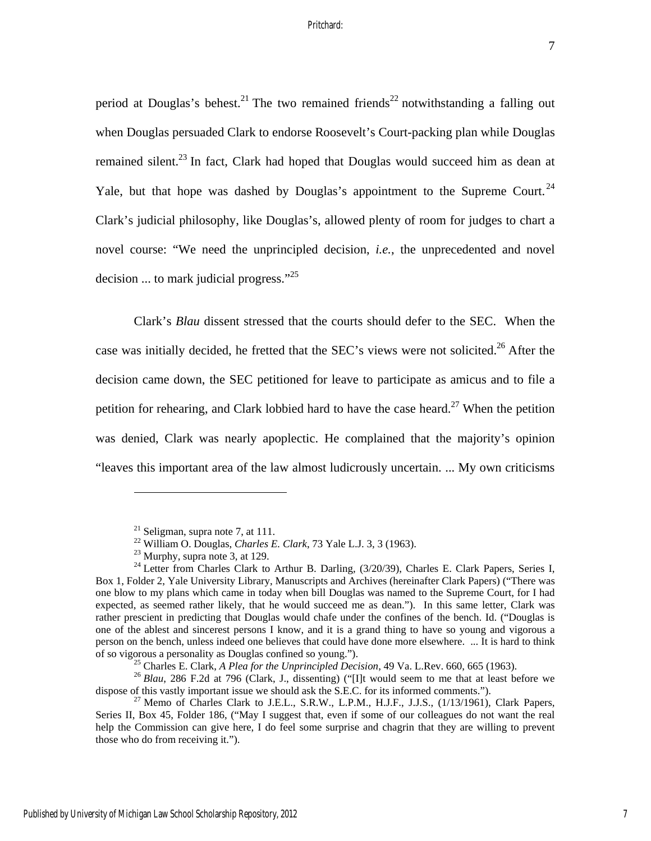period at Douglas's behest.<sup>21</sup> The two remained friends<sup>22</sup> notwithstanding a falling out when Douglas persuaded Clark to endorse Roosevelt's Court-packing plan while Douglas remained silent.<sup>23</sup> In fact, Clark had hoped that Douglas would succeed him as dean at Yale, but that hope was dashed by Douglas's appointment to the Supreme Court.<sup>24</sup> Clark's judicial philosophy, like Douglas's, allowed plenty of room for judges to chart a novel course: "We need the unprincipled decision, *i.e.*, the unprecedented and novel decision ... to mark judicial progress."<sup>25</sup>

Clark's *Blau* dissent stressed that the courts should defer to the SEC. When the case was initially decided, he fretted that the SEC's views were not solicited.<sup>26</sup> After the decision came down, the SEC petitioned for leave to participate as amicus and to file a petition for rehearing, and Clark lobbied hard to have the case heard.<sup>27</sup> When the petition was denied, Clark was nearly apoplectic. He complained that the majority's opinion "leaves this important area of the law almost ludicrously uncertain. ... My own criticisms

<u>.</u>

 $21$  Seligman, supra note 7, at 111.

<sup>22</sup> William O. Douglas, *Charles E. Clark*, 73 Yale L.J. 3, 3 (1963). 23 Murphy, supra note 3, at 129.

 $^{24}$  Letter from Charles Clark to Arthur B. Darling, (3/20/39), Charles E. Clark Papers, Series I, Box 1, Folder 2, Yale University Library, Manuscripts and Archives (hereinafter Clark Papers) ("There was one blow to my plans which came in today when bill Douglas was named to the Supreme Court, for I had expected, as seemed rather likely, that he would succeed me as dean."). In this same letter, Clark was rather prescient in predicting that Douglas would chafe under the confines of the bench. Id. ("Douglas is one of the ablest and sincerest persons I know, and it is a grand thing to have so young and vigorous a person on the bench, unless indeed one believes that could have done more elsewhere. ... It is hard to think

<sup>%</sup> of so vigorous a personality as Douglas confined so young.").<br>
<sup>25</sup> Charles E. Clark, *A Plea for the Unprincipled Decision*, 49 Va. L.Rev. 660, 665 (1963).<br>
<sup>26</sup> *Blau*, 286 F.2d at 796 (Clark, J., dissenting) ("[I]t w

 $^{27}$  Memo of Charles Clark to J.E.L., S.R.W., L.P.M., H.J.F., J.J.S., (1/13/1961), Clark Papers, Series II, Box 45, Folder 186, ("May I suggest that, even if some of our colleagues do not want the real help the Commission can give here, I do feel some surprise and chagrin that they are willing to prevent those who do from receiving it.").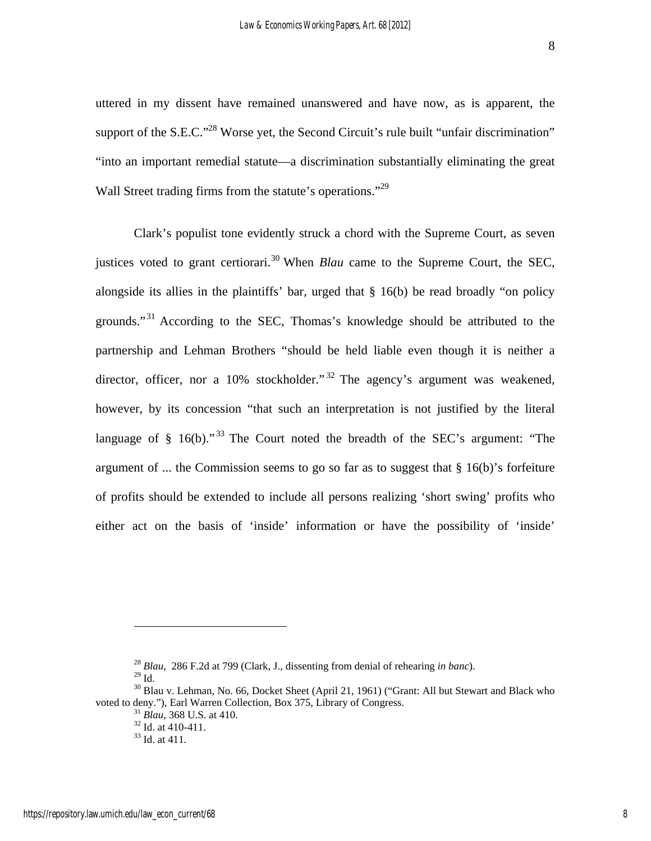uttered in my dissent have remained unanswered and have now, as is apparent, the support of the S.E.C."<sup>28</sup> Worse yet, the Second Circuit's rule built "unfair discrimination" "into an important remedial statute—a discrimination substantially eliminating the great Wall Street trading firms from the statute's operations."<sup>29</sup>

Clark's populist tone evidently struck a chord with the Supreme Court, as seven justices voted to grant certiorari.<sup>30</sup> When *Blau* came to the Supreme Court, the SEC, alongside its allies in the plaintiffs' bar, urged that § 16(b) be read broadly "on policy grounds."<sup>31</sup> According to the SEC, Thomas's knowledge should be attributed to the partnership and Lehman Brothers "should be held liable even though it is neither a director, officer, nor a 10% stockholder."<sup>32</sup> The agency's argument was weakened, however, by its concession "that such an interpretation is not justified by the literal language of  $\S$  16(b)."<sup>33</sup> The Court noted the breadth of the SEC's argument: "The argument of ... the Commission seems to go so far as to suggest that  $\S$  16(b)'s forfeiture of profits should be extended to include all persons realizing 'short swing' profits who either act on the basis of 'inside' information or have the possibility of 'inside'

<sup>28</sup> *Blau*, 286 F.2d at 799 (Clark, J., dissenting from denial of rehearing *in banc*).

 $29$  Id.

<sup>&</sup>lt;sup>30</sup> Blau v. Lehman, No. 66, Docket Sheet (April 21, 1961) ("Grant: All but Stewart and Black who voted to deny."), Earl Warren Collection, Box 375, Library of Congress. 31 *Blau*, 368 U.S. at 410. 32 Id. at 410-411.

<sup>33</sup> Id. at 411.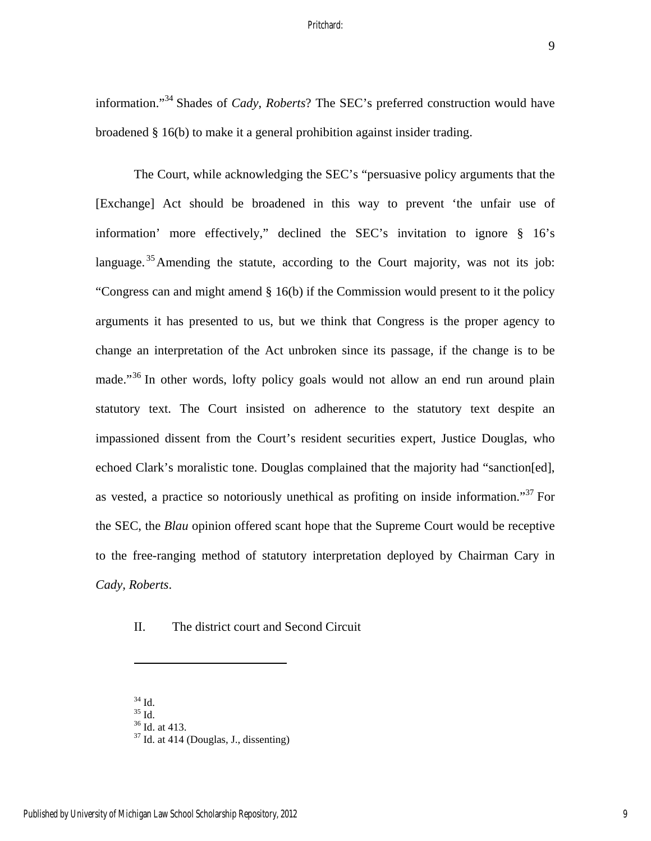9

information."34 Shades of *Cady*, *Roberts*? The SEC's preferred construction would have broadened § 16(b) to make it a general prohibition against insider trading.

The Court, while acknowledging the SEC's "persuasive policy arguments that the [Exchange] Act should be broadened in this way to prevent 'the unfair use of information' more effectively," declined the SEC's invitation to ignore § 16's language.<sup>35</sup> Amending the statute, according to the Court majority, was not its job: "Congress can and might amend § 16(b) if the Commission would present to it the policy arguments it has presented to us, but we think that Congress is the proper agency to change an interpretation of the Act unbroken since its passage, if the change is to be made."<sup>36</sup> In other words, lofty policy goals would not allow an end run around plain statutory text. The Court insisted on adherence to the statutory text despite an impassioned dissent from the Court's resident securities expert, Justice Douglas, who echoed Clark's moralistic tone. Douglas complained that the majority had "sanction[ed], as vested, a practice so notoriously unethical as profiting on inside information."37 For the SEC, the *Blau* opinion offered scant hope that the Supreme Court would be receptive to the free-ranging method of statutory interpretation deployed by Chairman Cary in *Cady, Roberts*.

II. The district court and Second Circuit

<sup>34</sup> Id.

<sup>35</sup> Id. 36 Id. at 413.

 $37$  Id. at 414 (Douglas, J., dissenting)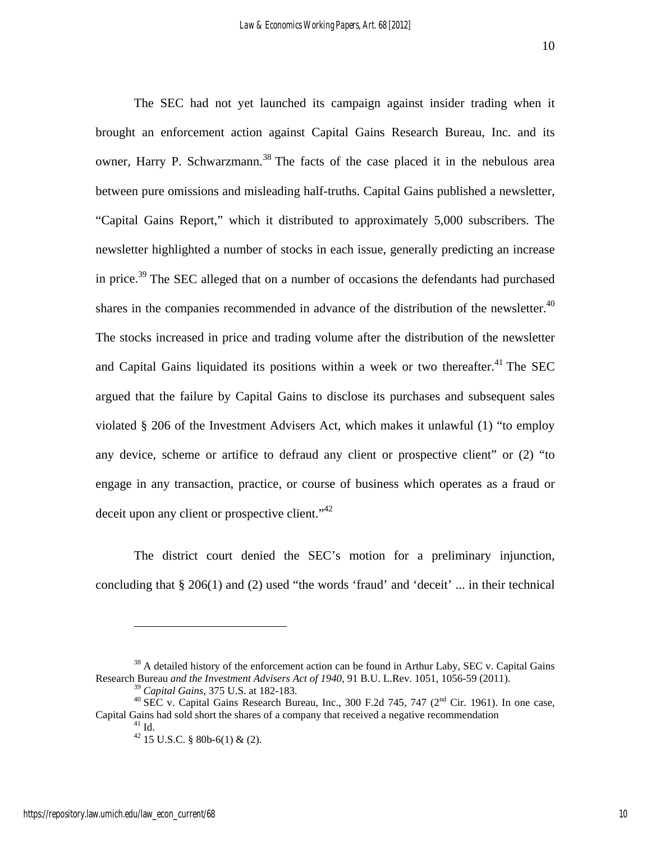The SEC had not yet launched its campaign against insider trading when it brought an enforcement action against Capital Gains Research Bureau, Inc. and its owner, Harry P. Schwarzmann.<sup>38</sup> The facts of the case placed it in the nebulous area between pure omissions and misleading half-truths. Capital Gains published a newsletter, "Capital Gains Report," which it distributed to approximately 5,000 subscribers. The newsletter highlighted a number of stocks in each issue, generally predicting an increase in price.<sup>39</sup> The SEC alleged that on a number of occasions the defendants had purchased shares in the companies recommended in advance of the distribution of the newsletter. $40$ The stocks increased in price and trading volume after the distribution of the newsletter and Capital Gains liquidated its positions within a week or two thereafter.<sup>41</sup> The SEC argued that the failure by Capital Gains to disclose its purchases and subsequent sales violated § 206 of the Investment Advisers Act, which makes it unlawful (1) "to employ any device, scheme or artifice to defraud any client or prospective client" or (2) "to engage in any transaction, practice, or course of business which operates as a fraud or deceit upon any client or prospective client. $"^{42}$ 

The district court denied the SEC's motion for a preliminary injunction, concluding that § 206(1) and (2) used "the words 'fraud' and 'deceit' ... in their technical

 $38$  A detailed history of the enforcement action can be found in Arthur Laby, SEC v. Capital Gains Research Bureau *and the Investment Advisers Act of 1940*, 91 B.U. L.Rev. 1051, 1056-59 (2011).

<sup>&</sup>lt;sup>39</sup> *Capital Gains*, 375 U.S. at 182-183.<br><sup>40</sup> SEC v. Capital Gains Research Bureau, Inc., 300 F.2d 745, 747 (2<sup>nd</sup> Cir. 1961). In one case, Capital Gains had sold short the shares of a company that received a negative recommendation 41 Id.

 $42$  15 U.S.C. § 80b-6(1) & (2).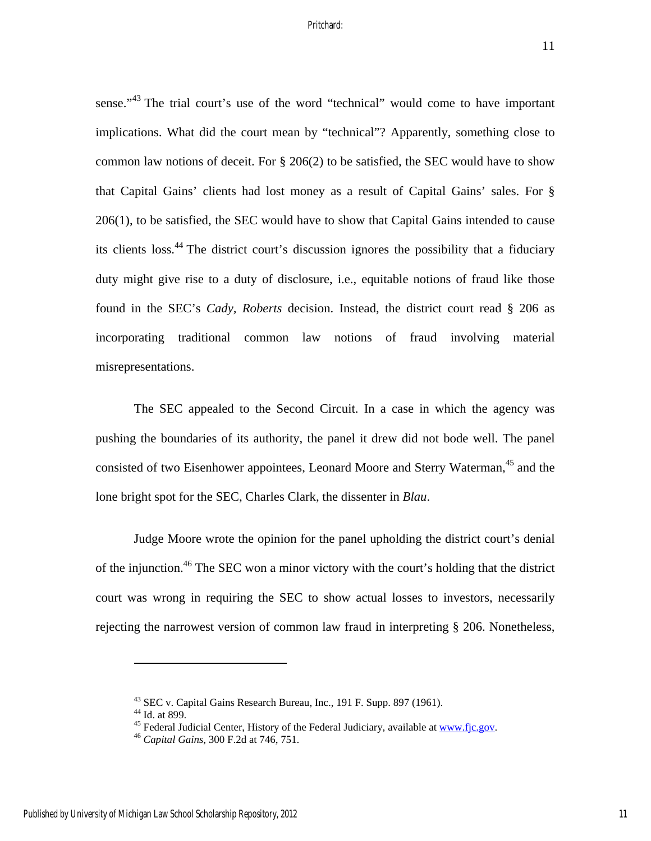sense."<sup>43</sup> The trial court's use of the word "technical" would come to have important implications. What did the court mean by "technical"? Apparently, something close to common law notions of deceit. For  $\S 206(2)$  to be satisfied, the SEC would have to show that Capital Gains' clients had lost money as a result of Capital Gains' sales. For § 206(1), to be satisfied, the SEC would have to show that Capital Gains intended to cause its clients loss.44 The district court's discussion ignores the possibility that a fiduciary duty might give rise to a duty of disclosure, i.e., equitable notions of fraud like those found in the SEC's *Cady, Roberts* decision. Instead, the district court read § 206 as incorporating traditional common law notions of fraud involving material misrepresentations.

The SEC appealed to the Second Circuit. In a case in which the agency was pushing the boundaries of its authority, the panel it drew did not bode well. The panel consisted of two Eisenhower appointees, Leonard Moore and Sterry Waterman,<sup>45</sup> and the lone bright spot for the SEC, Charles Clark, the dissenter in *Blau*.

Judge Moore wrote the opinion for the panel upholding the district court's denial of the injunction.<sup>46</sup> The SEC won a minor victory with the court's holding that the district court was wrong in requiring the SEC to show actual losses to investors, necessarily rejecting the narrowest version of common law fraud in interpreting § 206. Nonetheless,

<sup>43</sup> SEC v. Capital Gains Research Bureau, Inc., 191 F. Supp. 897 (1961).

 $44$  Id. at 899.

<sup>45</sup> Federal Judicial Center, History of the Federal Judiciary, available at www.fjc.gov. 46 *Capital Gains*, 300 F.2d at 746, 751.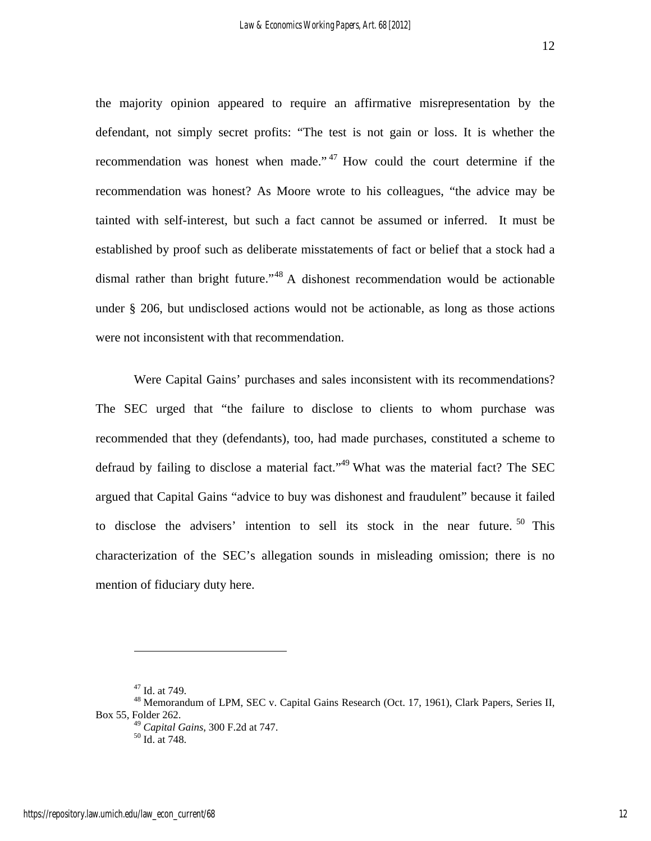the majority opinion appeared to require an affirmative misrepresentation by the defendant, not simply secret profits: "The test is not gain or loss. It is whether the recommendation was honest when made."<sup>47</sup> How could the court determine if the recommendation was honest? As Moore wrote to his colleagues, "the advice may be tainted with self-interest, but such a fact cannot be assumed or inferred. It must be established by proof such as deliberate misstatements of fact or belief that a stock had a dismal rather than bright future."<sup>48</sup> A dishonest recommendation would be actionable under § 206, but undisclosed actions would not be actionable, as long as those actions were not inconsistent with that recommendation.

Were Capital Gains' purchases and sales inconsistent with its recommendations? The SEC urged that "the failure to disclose to clients to whom purchase was recommended that they (defendants), too, had made purchases, constituted a scheme to defraud by failing to disclose a material fact."<sup>49</sup> What was the material fact? The SEC argued that Capital Gains "advice to buy was dishonest and fraudulent" because it failed to disclose the advisers' intention to sell its stock in the near future.  $50$  This characterization of the SEC's allegation sounds in misleading omission; there is no mention of fiduciary duty here.

<sup>47</sup> Id. at 749.

<sup>48</sup> Memorandum of LPM, SEC v. Capital Gains Research (Oct. 17, 1961), Clark Papers, Series II, Box 55, Folder 262.

<sup>49</sup> *Capital Gains*, 300 F.2d at 747. 50 Id. at 748.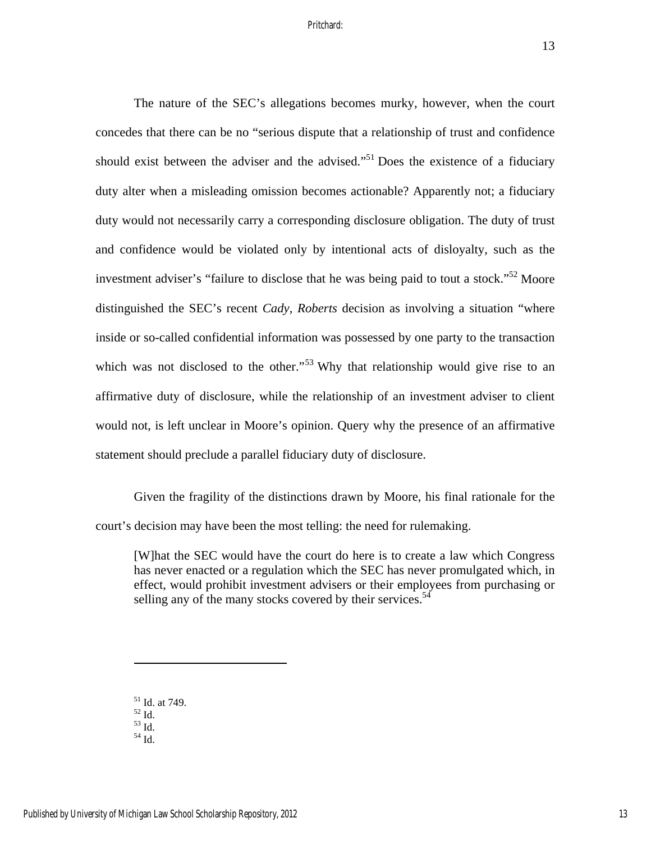The nature of the SEC's allegations becomes murky, however, when the court concedes that there can be no "serious dispute that a relationship of trust and confidence should exist between the adviser and the advised.<sup> $51$ </sup> Does the existence of a fiduciary duty alter when a misleading omission becomes actionable? Apparently not; a fiduciary duty would not necessarily carry a corresponding disclosure obligation. The duty of trust and confidence would be violated only by intentional acts of disloyalty, such as the investment adviser's "failure to disclose that he was being paid to tout a stock."<sup>52</sup> Moore distinguished the SEC's recent *Cady, Roberts* decision as involving a situation "where inside or so-called confidential information was possessed by one party to the transaction which was not disclosed to the other."<sup>53</sup> Why that relationship would give rise to an affirmative duty of disclosure, while the relationship of an investment adviser to client would not, is left unclear in Moore's opinion. Query why the presence of an affirmative statement should preclude a parallel fiduciary duty of disclosure.

Given the fragility of the distinctions drawn by Moore, his final rationale for the court's decision may have been the most telling: the need for rulemaking.

[W]hat the SEC would have the court do here is to create a law which Congress has never enacted or a regulation which the SEC has never promulgated which, in effect, would prohibit investment advisers or their employees from purchasing or selling any of the many stocks covered by their services.<sup>54</sup>

- 51 Id. at 749. 52 Id.
- $^{53}$  Id.  $\,$

 $\overline{a}$ 

54 Id.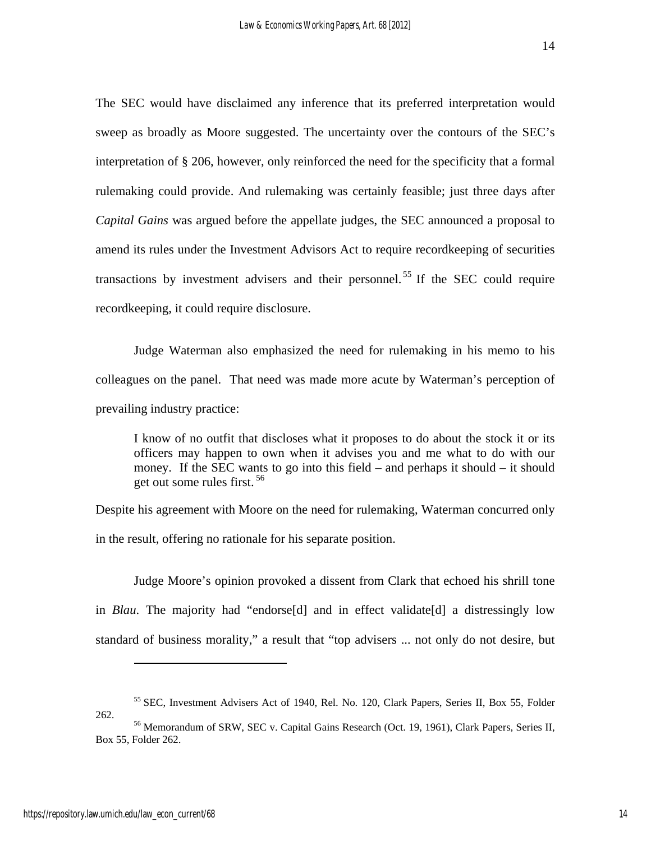The SEC would have disclaimed any inference that its preferred interpretation would sweep as broadly as Moore suggested. The uncertainty over the contours of the SEC's interpretation of § 206, however, only reinforced the need for the specificity that a formal rulemaking could provide. And rulemaking was certainly feasible; just three days after *Capital Gains* was argued before the appellate judges, the SEC announced a proposal to amend its rules under the Investment Advisors Act to require recordkeeping of securities transactions by investment advisers and their personnel.<sup>55</sup> If the SEC could require recordkeeping, it could require disclosure.

Judge Waterman also emphasized the need for rulemaking in his memo to his colleagues on the panel. That need was made more acute by Waterman's perception of prevailing industry practice:

I know of no outfit that discloses what it proposes to do about the stock it or its officers may happen to own when it advises you and me what to do with our money. If the SEC wants to go into this field – and perhaps it should – it should get out some rules first. 56

Despite his agreement with Moore on the need for rulemaking, Waterman concurred only in the result, offering no rationale for his separate position.

Judge Moore's opinion provoked a dissent from Clark that echoed his shrill tone in *Blau*. The majority had "endorse[d] and in effect validate[d] a distressingly low standard of business morality," a result that "top advisers ... not only do not desire, but

<sup>55</sup> SEC, Investment Advisers Act of 1940, Rel. No. 120, Clark Papers, Series II, Box 55, Folder 262. 56 Memorandum of SRW, SEC v. Capital Gains Research (Oct. 19, 1961), Clark Papers, Series II,

Box 55, Folder 262.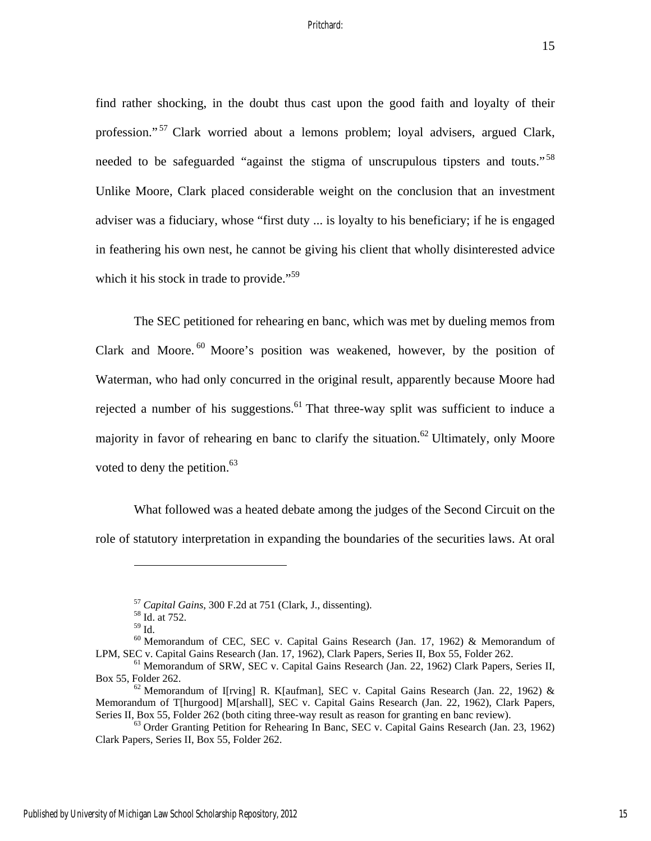find rather shocking, in the doubt thus cast upon the good faith and loyalty of their profession."<sup>57</sup> Clark worried about a lemons problem; loyal advisers, argued Clark, needed to be safeguarded "against the stigma of unscrupulous tipsters and touts."<sup>58</sup> Unlike Moore, Clark placed considerable weight on the conclusion that an investment adviser was a fiduciary, whose "first duty ... is loyalty to his beneficiary; if he is engaged in feathering his own nest, he cannot be giving his client that wholly disinterested advice which it his stock in trade to provide."<sup>59</sup>

The SEC petitioned for rehearing en banc, which was met by dueling memos from Clark and Moore.  $60$  Moore's position was weakened, however, by the position of Waterman, who had only concurred in the original result, apparently because Moore had rejected a number of his suggestions.<sup>61</sup> That three-way split was sufficient to induce a majority in favor of rehearing en banc to clarify the situation.<sup>62</sup> Ultimately, only Moore voted to deny the petition. $63$ 

What followed was a heated debate among the judges of the Second Circuit on the role of statutory interpretation in expanding the boundaries of the securities laws. At oral

<sup>57</sup> *Capital Gains*, 300 F.2d at 751 (Clark, J., dissenting). 58 Id. at 752.

 $59$  Id.

<sup>60</sup> Memorandum of CEC, SEC v. Capital Gains Research (Jan. 17, 1962) & Memorandum of LPM, SEC v. Capital Gains Research (Jan. 17, 1962), Clark Papers, Series II, Box 55, Folder 262.<br><sup>61</sup> Memorandum of SRW, SEC v. Capital Gains Research (Jan. 22, 1962) Clark Papers, Series II,

Box 55, Folder 262.<br><sup>62</sup> Memorandum of I[rving] R. K[aufman], SEC v. Capital Gains Research (Jan. 22, 1962) &

Memorandum of T[hurgood] M[arshall], SEC v. Capital Gains Research (Jan. 22, 1962), Clark Papers, Series II, Box 55, Folder 262 (both citing three-way result as reason for granting en banc review).<br><sup>63</sup> Order Granting Petition for Rehearing In Banc, SEC v. Capital Gains Research (Jan. 23, 1962)

Clark Papers, Series II, Box 55, Folder 262.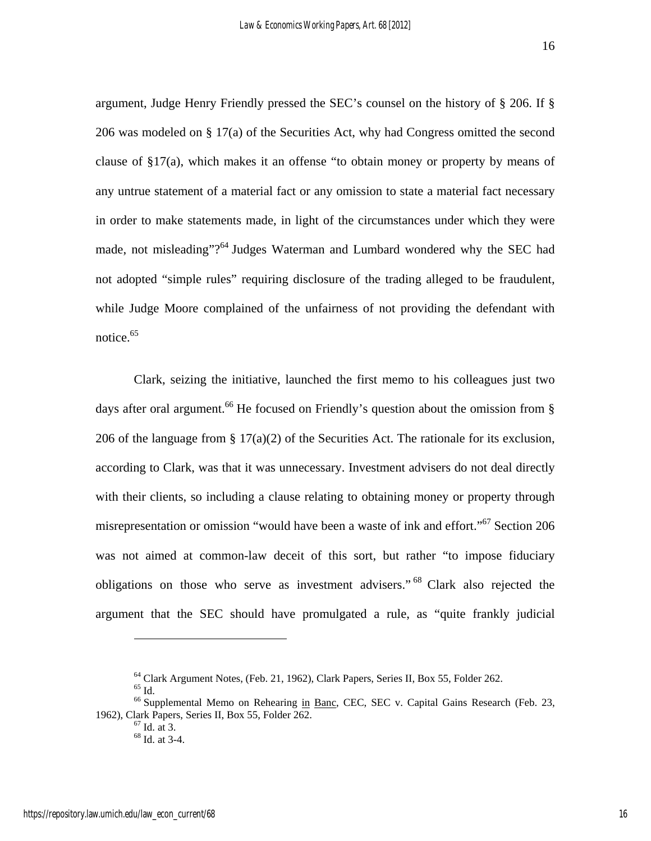argument, Judge Henry Friendly pressed the SEC's counsel on the history of § 206. If § 206 was modeled on § 17(a) of the Securities Act, why had Congress omitted the second clause of §17(a), which makes it an offense "to obtain money or property by means of any untrue statement of a material fact or any omission to state a material fact necessary in order to make statements made, in light of the circumstances under which they were made, not misleading"?<sup>64</sup> Judges Waterman and Lumbard wondered why the SEC had not adopted "simple rules" requiring disclosure of the trading alleged to be fraudulent, while Judge Moore complained of the unfairness of not providing the defendant with notice. $65$ 

Clark, seizing the initiative, launched the first memo to his colleagues just two days after oral argument.<sup>66</sup> He focused on Friendly's question about the omission from  $\S$ 206 of the language from  $\S 17(a)(2)$  of the Securities Act. The rationale for its exclusion, according to Clark, was that it was unnecessary. Investment advisers do not deal directly with their clients, so including a clause relating to obtaining money or property through misrepresentation or omission "would have been a waste of ink and effort."<sup>67</sup> Section 206 was not aimed at common-law deceit of this sort, but rather "to impose fiduciary obligations on those who serve as investment advisers." <sup>68</sup> Clark also rejected the argument that the SEC should have promulgated a rule, as "quite frankly judicial

 $65$  Id.

<sup>&</sup>lt;sup>64</sup> Clark Argument Notes, (Feb. 21, 1962), Clark Papers, Series II, Box 55, Folder 262.

<sup>&</sup>lt;sup>66</sup> Supplemental Memo on Rehearing in Banc, CEC, SEC v. Capital Gains Research (Feb. 23, 1962), Clark Papers, Series II, Box 55, Folder 262. 67 Id. at 3.

<sup>68</sup> Id. at 3-4.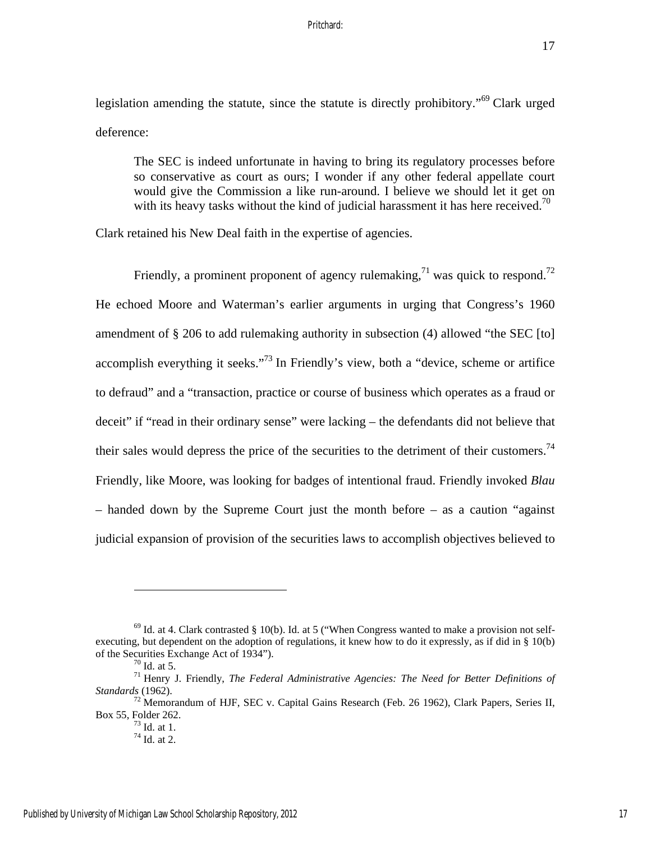legislation amending the statute, since the statute is directly prohibitory."69 Clark urged deference:

The SEC is indeed unfortunate in having to bring its regulatory processes before so conservative as court as ours; I wonder if any other federal appellate court would give the Commission a like run-around. I believe we should let it get on with its heavy tasks without the kind of judicial harassment it has here received.<sup>70</sup>

Clark retained his New Deal faith in the expertise of agencies.

Friendly, a prominent proponent of agency rulemaking,<sup>71</sup> was quick to respond.<sup>72</sup> He echoed Moore and Waterman's earlier arguments in urging that Congress's 1960 amendment of § 206 to add rulemaking authority in subsection (4) allowed "the SEC [to] accomplish everything it seeks."<sup>73</sup> In Friendly's view, both a "device, scheme or artifice to defraud" and a "transaction, practice or course of business which operates as a fraud or deceit" if "read in their ordinary sense" were lacking – the defendants did not believe that their sales would depress the price of the securities to the detriment of their customers.<sup>74</sup> Friendly, like Moore, was looking for badges of intentional fraud. Friendly invoked *Blau*  – handed down by the Supreme Court just the month before – as a caution "against judicial expansion of provision of the securities laws to accomplish objectives believed to

 $69$  Id. at 4. Clark contrasted § 10(b). Id. at 5 ("When Congress wanted to make a provision not selfexecuting, but dependent on the adoption of regulations, it knew how to do it expressly, as if did in § 10(b) of the Securities Exchange Act of 1934").<br> $^{70}$  Id. at 5.

<sup>71</sup> Henry J. Friendly, *The Federal Administrative Agencies: The Need for Better Definitions of Standards* (1962).

 $^{72}$  Memorandum of HJF, SEC v. Capital Gains Research (Feb. 26 1962), Clark Papers, Series II, Box 55, Folder 262.<br> $^{73}$  Id. at 1.

 $74$  Id. at 2.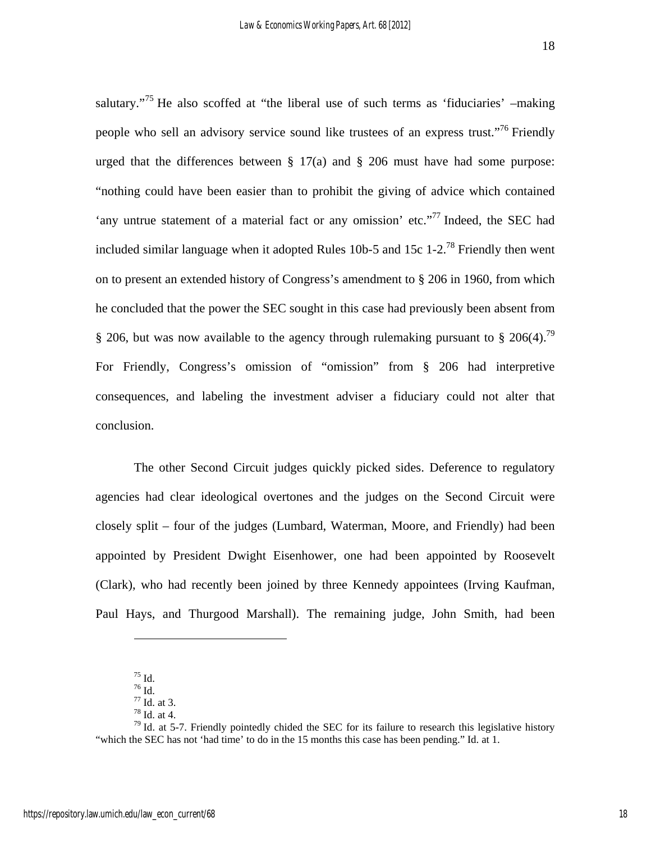salutary."<sup>75</sup> He also scoffed at "the liberal use of such terms as 'fiduciaries'  $-\text{making}$ people who sell an advisory service sound like trustees of an express trust."<sup>76</sup> Friendly urged that the differences between  $\S 17(a)$  and  $\S 206$  must have had some purpose: "nothing could have been easier than to prohibit the giving of advice which contained 'any untrue statement of a material fact or any omission' etc."<sup>77</sup> Indeed, the SEC had included similar language when it adopted Rules 10b-5 and 15c 1-2.<sup>78</sup> Friendly then went on to present an extended history of Congress's amendment to § 206 in 1960, from which he concluded that the power the SEC sought in this case had previously been absent from § 206, but was now available to the agency through rulemaking pursuant to § 206(4).<sup>79</sup> For Friendly, Congress's omission of "omission" from § 206 had interpretive consequences, and labeling the investment adviser a fiduciary could not alter that conclusion.

The other Second Circuit judges quickly picked sides. Deference to regulatory agencies had clear ideological overtones and the judges on the Second Circuit were closely split – four of the judges (Lumbard, Waterman, Moore, and Friendly) had been appointed by President Dwight Eisenhower, one had been appointed by Roosevelt (Clark), who had recently been joined by three Kennedy appointees (Irving Kaufman, Paul Hays, and Thurgood Marshall). The remaining judge, John Smith, had been

<u>.</u>

 $^{75}$  Id.

<sup>76</sup> Id.

<sup>77</sup> Id. at 3.

<sup>78</sup> Id. at 4.

 $79$  Id. at 5-7. Friendly pointedly chided the SEC for its failure to research this legislative history "which the SEC has not 'had time' to do in the 15 months this case has been pending." Id. at 1.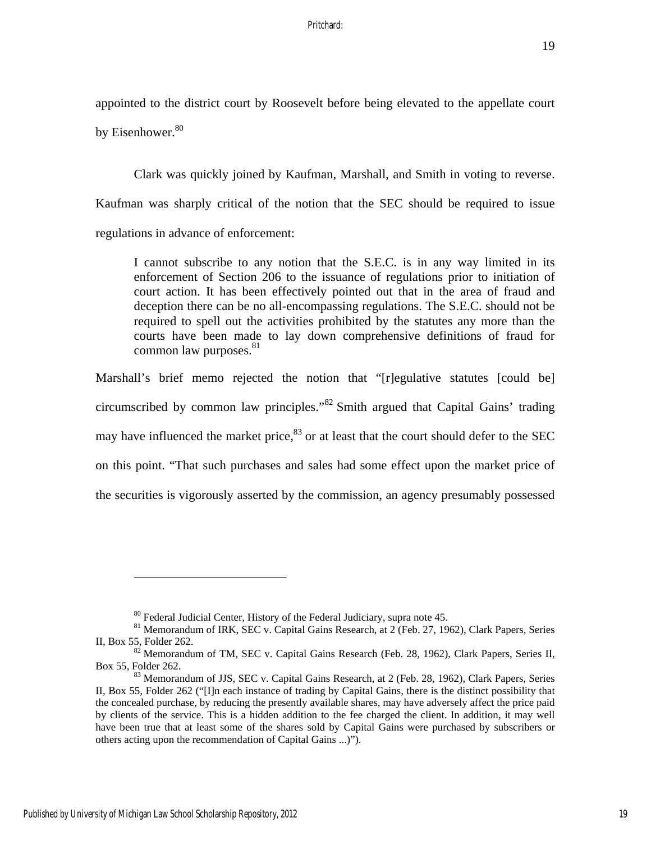appointed to the district court by Roosevelt before being elevated to the appellate court by Eisenhower.<sup>80</sup>

Clark was quickly joined by Kaufman, Marshall, and Smith in voting to reverse. Kaufman was sharply critical of the notion that the SEC should be required to issue regulations in advance of enforcement:

I cannot subscribe to any notion that the S.E.C. is in any way limited in its enforcement of Section 206 to the issuance of regulations prior to initiation of court action. It has been effectively pointed out that in the area of fraud and deception there can be no all-encompassing regulations. The S.E.C. should not be required to spell out the activities prohibited by the statutes any more than the courts have been made to lay down comprehensive definitions of fraud for common law purposes. $81$ 

Marshall's brief memo rejected the notion that "[r]egulative statutes [could be] circumscribed by common law principles."82 Smith argued that Capital Gains' trading may have influenced the market price,  $83$  or at least that the court should defer to the SEC on this point. "That such purchases and sales had some effect upon the market price of the securities is vigorously asserted by the commission, an agency presumably possessed

<sup>&</sup>lt;sup>80</sup> Federal Judicial Center, History of the Federal Judiciary, supra note 45.

<sup>&</sup>lt;sup>81</sup> Memorandum of IRK, SEC v. Capital Gains Research, at 2 (Feb. 27, 1962), Clark Papers, Series II, Box 55, Folder 262.<br><sup>82</sup> Memorandum of TM, SEC v. Capital Gains Research (Feb. 28, 1962), Clark Papers, Series II,

Box 55, Folder 262.<br><sup>83</sup> Memorandum of JJS, SEC v. Capital Gains Research, at 2 (Feb. 28, 1962), Clark Papers, Series

II, Box 55, Folder 262 ("[I]n each instance of trading by Capital Gains, there is the distinct possibility that the concealed purchase, by reducing the presently available shares, may have adversely affect the price paid by clients of the service. This is a hidden addition to the fee charged the client. In addition, it may well have been true that at least some of the shares sold by Capital Gains were purchased by subscribers or others acting upon the recommendation of Capital Gains ...)").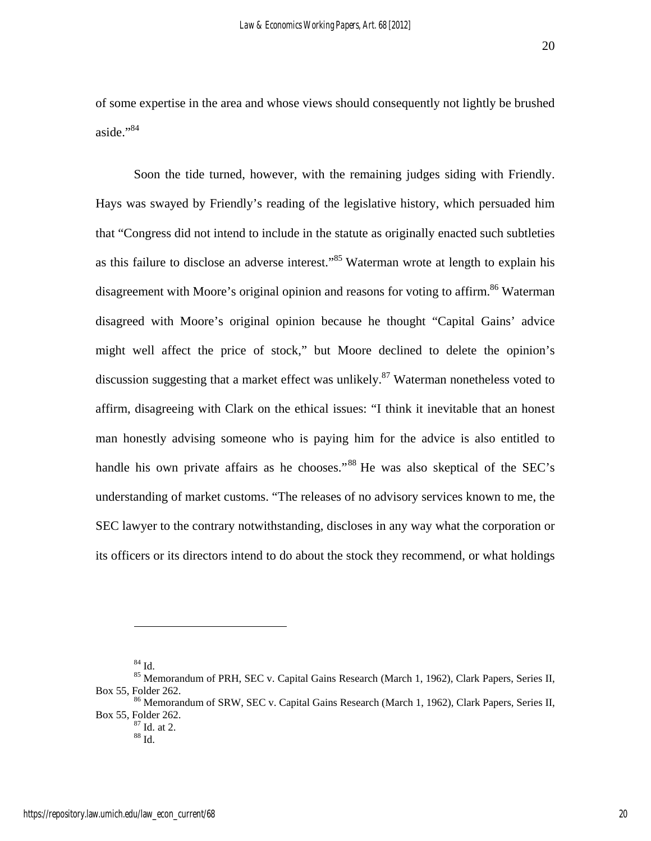of some expertise in the area and whose views should consequently not lightly be brushed aside."<sup>84</sup>

 Soon the tide turned, however, with the remaining judges siding with Friendly. Hays was swayed by Friendly's reading of the legislative history, which persuaded him that "Congress did not intend to include in the statute as originally enacted such subtleties as this failure to disclose an adverse interest."85 Waterman wrote at length to explain his disagreement with Moore's original opinion and reasons for voting to affirm.<sup>86</sup> Waterman disagreed with Moore's original opinion because he thought "Capital Gains' advice might well affect the price of stock," but Moore declined to delete the opinion's discussion suggesting that a market effect was unlikely.<sup>87</sup> Waterman nonetheless voted to affirm, disagreeing with Clark on the ethical issues: "I think it inevitable that an honest man honestly advising someone who is paying him for the advice is also entitled to handle his own private affairs as he chooses."<sup>88</sup> He was also skeptical of the SEC's understanding of market customs. "The releases of no advisory services known to me, the SEC lawyer to the contrary notwithstanding, discloses in any way what the corporation or its officers or its directors intend to do about the stock they recommend, or what holdings

84 Id.

<sup>&</sup>lt;sup>85</sup> Memorandum of PRH, SEC v. Capital Gains Research (March 1, 1962), Clark Papers, Series II, Box 55, Folder 262.<br><sup>86</sup> Memorandum of SRW, SEC v. Capital Gains Research (March 1, 1962), Clark Papers, Series II,

Box 55, Folder 262. 87 Id. at 2.

 $^{88}$  Id.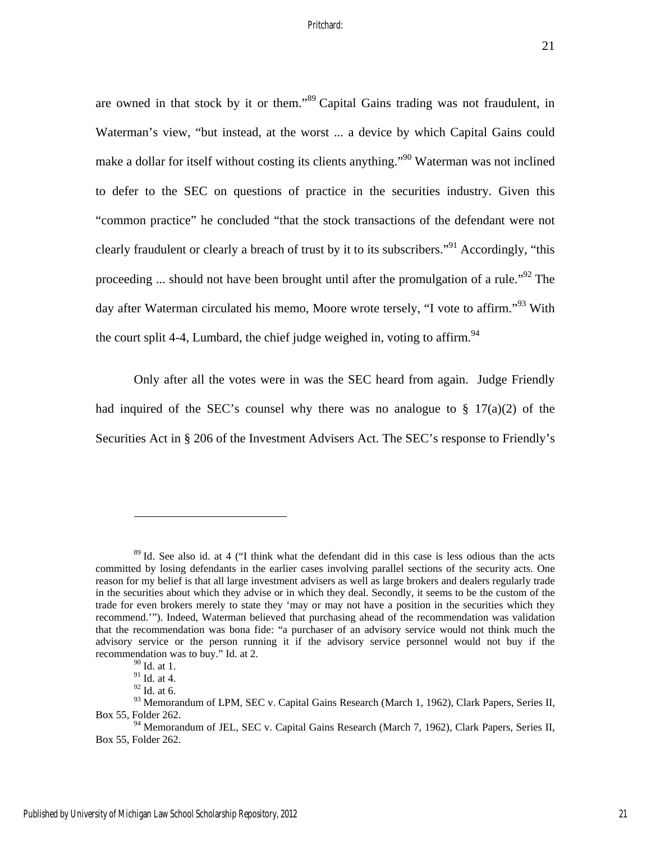are owned in that stock by it or them."89 Capital Gains trading was not fraudulent, in Waterman's view, "but instead, at the worst ... a device by which Capital Gains could make a dollar for itself without costing its clients anything."90 Waterman was not inclined to defer to the SEC on questions of practice in the securities industry. Given this "common practice" he concluded "that the stock transactions of the defendant were not clearly fraudulent or clearly a breach of trust by it to its subscribers."91 Accordingly, "this proceeding ... should not have been brought until after the promulgation of a rule.<sup> $.92$ </sup> The day after Waterman circulated his memo, Moore wrote tersely, "I vote to affirm."<sup>93</sup> With the court split 4-4, Lumbard, the chief judge weighed in, voting to affirm.<sup>94</sup>

Only after all the votes were in was the SEC heard from again. Judge Friendly had inquired of the SEC's counsel why there was no analogue to  $\S 17(a)(2)$  of the Securities Act in § 206 of the Investment Advisers Act. The SEC's response to Friendly's

<sup>&</sup>lt;sup>89</sup> Id. See also id. at 4 ("I think what the defendant did in this case is less odious than the acts committed by losing defendants in the earlier cases involving parallel sections of the security acts. One reason for my belief is that all large investment advisers as well as large brokers and dealers regularly trade in the securities about which they advise or in which they deal. Secondly, it seems to be the custom of the trade for even brokers merely to state they 'may or may not have a position in the securities which they recommend.'"). Indeed, Waterman believed that purchasing ahead of the recommendation was validation that the recommendation was bona fide: "a purchaser of an advisory service would not think much the advisory service or the person running it if the advisory service personnel would not buy if the recommendation was to buy." Id. at 2.

<sup>90</sup> Id. at 1.

 $91$  Id. at 4.

 $92$  Id. at 6.

<sup>93</sup> Memorandum of LPM, SEC v. Capital Gains Research (March 1, 1962), Clark Papers, Series II, Box 55, Folder 262.

<sup>&</sup>lt;sup>94</sup> Memorandum of JEL, SEC v. Capital Gains Research (March 7, 1962), Clark Papers, Series II, Box 55, Folder 262.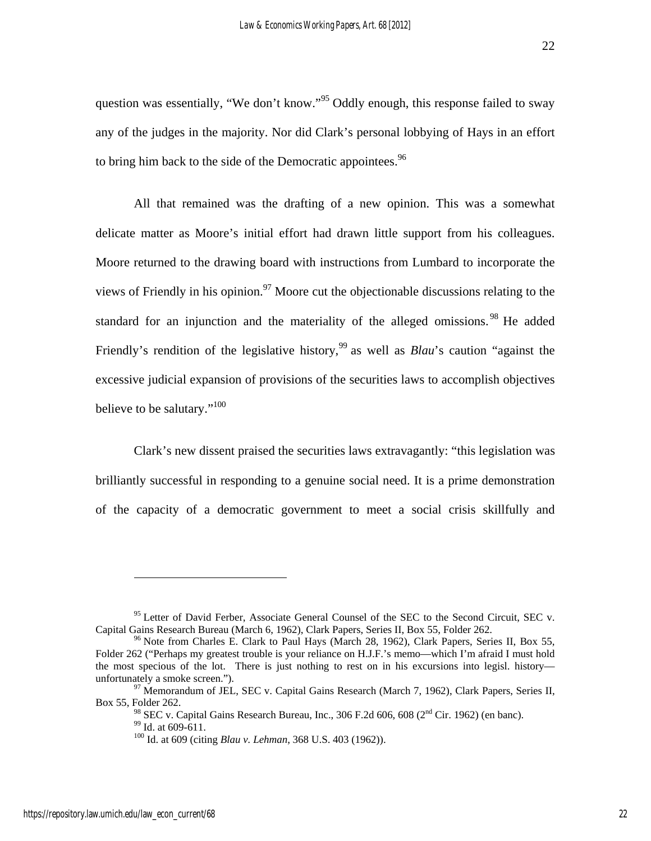question was essentially, "We don't know."<sup>95</sup> Oddly enough, this response failed to sway any of the judges in the majority. Nor did Clark's personal lobbying of Hays in an effort to bring him back to the side of the Democratic appointees.  $96$ 

All that remained was the drafting of a new opinion. This was a somewhat delicate matter as Moore's initial effort had drawn little support from his colleagues. Moore returned to the drawing board with instructions from Lumbard to incorporate the views of Friendly in his opinion.<sup>97</sup> Moore cut the objectionable discussions relating to the standard for an injunction and the materiality of the alleged omissions.<sup>98</sup> He added Friendly's rendition of the legislative history,<sup>99</sup> as well as *Blau's* caution "against the excessive judicial expansion of provisions of the securities laws to accomplish objectives believe to be salutary."<sup>100</sup>

Clark's new dissent praised the securities laws extravagantly: "this legislation was brilliantly successful in responding to a genuine social need. It is a prime demonstration of the capacity of a democratic government to meet a social crisis skillfully and

<sup>&</sup>lt;sup>95</sup> Letter of David Ferber, Associate General Counsel of the SEC to the Second Circuit, SEC v. Capital Gains Research Bureau (March 6, 1962), Clark Papers, Series II, Box 55, Folder 262.<br><sup>96</sup> Note from Charles E. Clark to Paul Hays (March 28, 1962), Clark Papers, Series II, Box 55,

Folder 262 ("Perhaps my greatest trouble is your reliance on H.J.F.'s memo—which I'm afraid I must hold the most specious of the lot. There is just nothing to rest on in his excursions into legisl. history—unfortunately a smoke screen.").

<sup>&</sup>lt;sup>97</sup> Memorandum of JEL, SEC v. Capital Gains Research (March 7, 1962), Clark Papers, Series II, Box 55, Folder 262.

<sup>&</sup>lt;sup>98</sup> SEC v. Capital Gains Research Bureau, Inc., 306 F.2d 606, 608 (2<sup>nd</sup> Cir. 1962) (en banc). <sup>99</sup> Id. at 609-611.

<sup>100</sup> Id. at 609 (citing *Blau v. Lehman*, 368 U.S. 403 (1962)).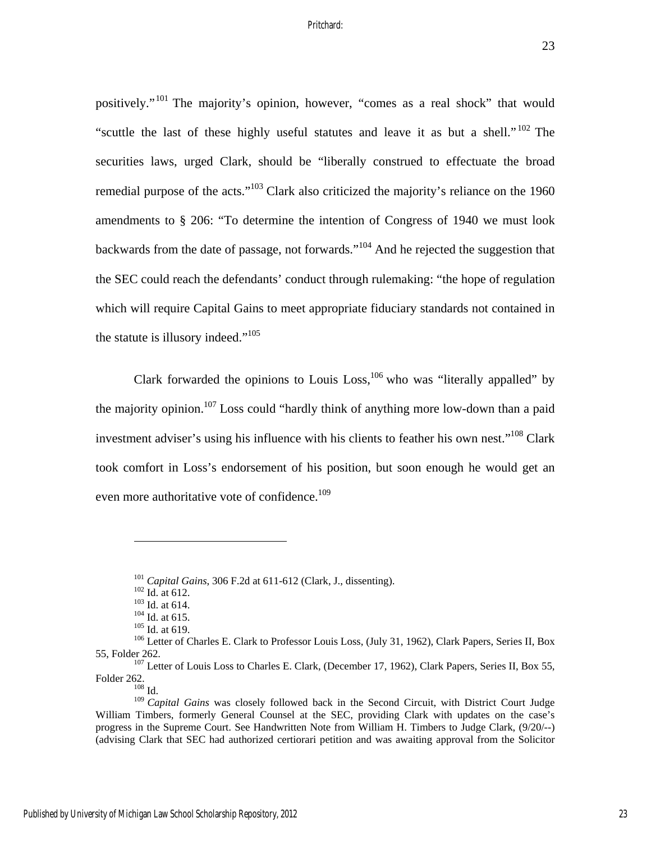positively."101 The majority's opinion, however, "comes as a real shock" that would "scuttle the last of these highly useful statutes and leave it as but a shell."<sup>102</sup> The securities laws, urged Clark, should be "liberally construed to effectuate the broad remedial purpose of the acts."<sup>103</sup> Clark also criticized the majority's reliance on the 1960 amendments to § 206: "To determine the intention of Congress of 1940 we must look backwards from the date of passage, not forwards."104 And he rejected the suggestion that the SEC could reach the defendants' conduct through rulemaking: "the hope of regulation which will require Capital Gains to meet appropriate fiduciary standards not contained in the statute is illusory indeed."<sup>105</sup>

Clark forwarded the opinions to Louis Loss,  $106$  who was "literally appalled" by the majority opinion.<sup>107</sup> Loss could "hardly think of anything more low-down than a paid investment adviser's using his influence with his clients to feather his own nest."<sup>108</sup> Clark took comfort in Loss's endorsement of his position, but soon enough he would get an even more authoritative vote of confidence.<sup>109</sup>

<sup>&</sup>lt;sup>101</sup> Capital Gains, 306 F.2d at 611-612 (Clark, J., dissenting).<br><sup>102</sup> Id. at 612.<br><sup>103</sup> Id. at 614.<br><sup>104</sup> Id. at 615.<br><sup>104</sup> Id. at 619.<br><sup>105</sup> Id. at 619.<br><sup>106</sup> Letter of Charles E. Clark to Professor Louis Loss, (July 3 55, Folder 262.<br><sup>107</sup> Letter of Louis Loss to Charles E. Clark, (December 17, 1962), Clark Papers, Series II, Box 55,

Folder 262.<br> $\frac{108}{108}$  Id.

<sup>109</sup> *Capital Gains* was closely followed back in the Second Circuit, with District Court Judge William Timbers, formerly General Counsel at the SEC, providing Clark with updates on the case's progress in the Supreme Court. See Handwritten Note from William H. Timbers to Judge Clark, (9/20/--) (advising Clark that SEC had authorized certiorari petition and was awaiting approval from the Solicitor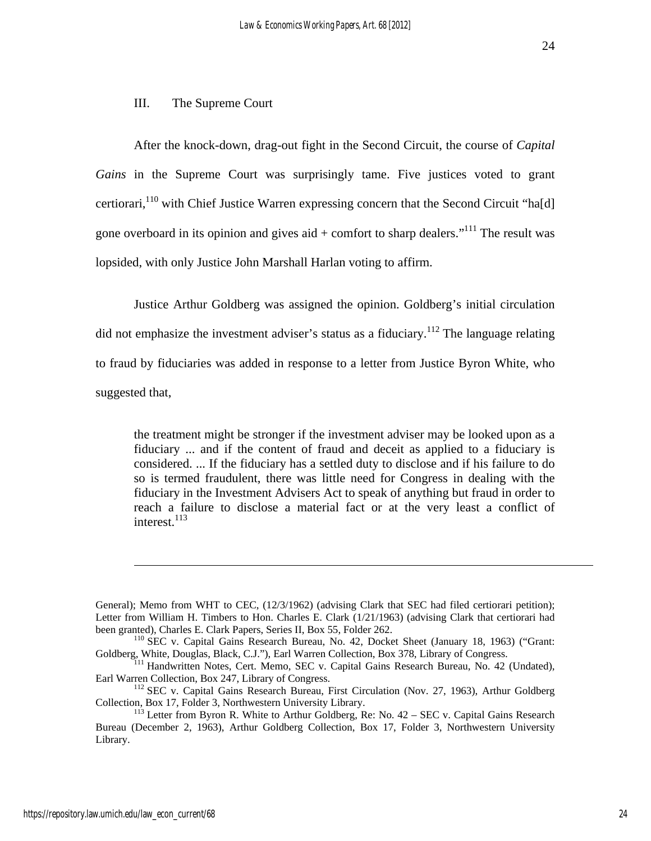#### III. The Supreme Court

After the knock-down, drag-out fight in the Second Circuit, the course of *Capital Gains* in the Supreme Court was surprisingly tame. Five justices voted to grant certiorari,<sup>110</sup> with Chief Justice Warren expressing concern that the Second Circuit "ha[d] gone overboard in its opinion and gives aid  $+$  comfort to sharp dealers."<sup>111</sup> The result was lopsided, with only Justice John Marshall Harlan voting to affirm.

Justice Arthur Goldberg was assigned the opinion. Goldberg's initial circulation did not emphasize the investment adviser's status as a fiduciary.<sup>112</sup> The language relating to fraud by fiduciaries was added in response to a letter from Justice Byron White, who suggested that,

the treatment might be stronger if the investment adviser may be looked upon as a fiduciary ... and if the content of fraud and deceit as applied to a fiduciary is considered. ... If the fiduciary has a settled duty to disclose and if his failure to do so is termed fraudulent, there was little need for Congress in dealing with the fiduciary in the Investment Advisers Act to speak of anything but fraud in order to reach a failure to disclose a material fact or at the very least a conflict of interest. $^{113}$ 

General); Memo from WHT to CEC, (12/3/1962) (advising Clark that SEC had filed certiorari petition); Letter from William H. Timbers to Hon. Charles E. Clark (1/21/1963) (advising Clark that certiorari had been granted), Charles E. Clark Papers, Series II, Box 55, Folder 262.

 $b<sup>110</sup>$  SEC v. Capital Gains Research Bureau, No. 42, Docket Sheet (January 18, 1963) ("Grant:

Goldberg, White, Douglas, Black, C.J."), Earl Warren Collection, Box 378, Library of Congress.<br><sup>111</sup> Handwritten Notes, Cert. Memo, SEC v. Capital Gains Research Bureau, No. 42 (Undated),<br>Earl Warren Collection, Box 247, L

 $^{112}$  SEC v. Capital Gains Research Bureau, First Circulation (Nov. 27, 1963), Arthur Goldberg Collection, Box 17, Folder 3, Northwestern University Library.

 $^{113}$  Letter from Byron R. White to Arthur Goldberg, Re: No. 42 – SEC v. Capital Gains Research Bureau (December 2, 1963), Arthur Goldberg Collection, Box 17, Folder 3, Northwestern University Library.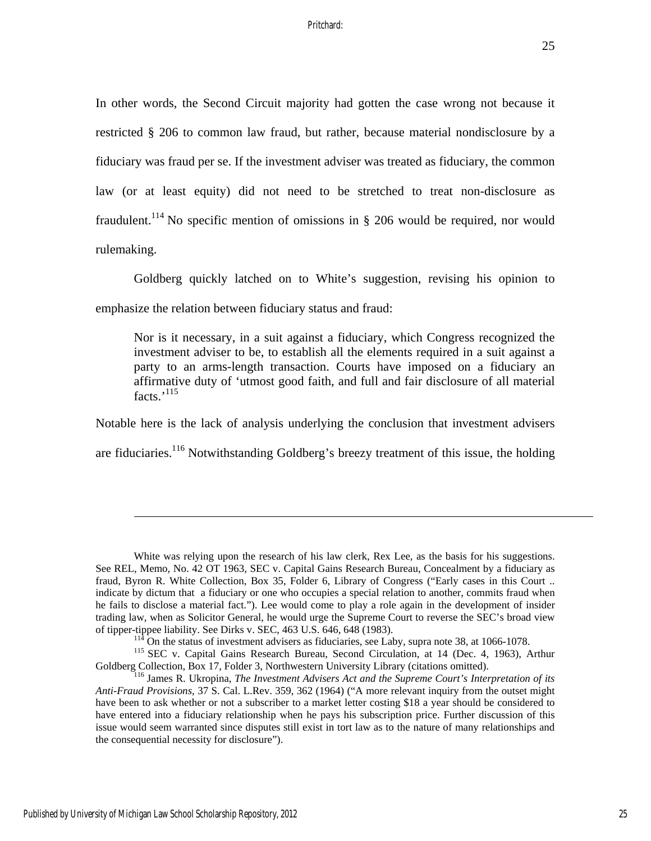In other words, the Second Circuit majority had gotten the case wrong not because it restricted § 206 to common law fraud, but rather, because material nondisclosure by a fiduciary was fraud per se. If the investment adviser was treated as fiduciary, the common law (or at least equity) did not need to be stretched to treat non-disclosure as fraudulent.<sup>114</sup> No specific mention of omissions in  $\S$  206 would be required, nor would rulemaking.

Goldberg quickly latched on to White's suggestion, revising his opinion to emphasize the relation between fiduciary status and fraud:

Nor is it necessary, in a suit against a fiduciary, which Congress recognized the investment adviser to be, to establish all the elements required in a suit against a party to an arms-length transaction. Courts have imposed on a fiduciary an affirmative duty of 'utmost good faith, and full and fair disclosure of all material facts.'<sup>115</sup>

Notable here is the lack of analysis underlying the conclusion that investment advisers

are fiduciaries.<sup>116</sup> Notwithstanding Goldberg's breezy treatment of this issue, the holding

White was relying upon the research of his law clerk, Rex Lee, as the basis for his suggestions. See REL, Memo, No. 42 OT 1963, SEC v. Capital Gains Research Bureau, Concealment by a fiduciary as fraud, Byron R. White Collection, Box 35, Folder 6, Library of Congress ("Early cases in this Court .. indicate by dictum that a fiduciary or one who occupies a special relation to another, commits fraud when he fails to disclose a material fact."). Lee would come to play a role again in the development of insider trading law, when as Solicitor General, he would urge the Supreme Court to reverse the SEC's broad view

of tipper-tippee liability. See Dirks v. SEC, 463 U.S. 646, 648 (1983).<br><sup>114</sup> On the status of investment advisers as fiduciaries, see Laby, supra note 38, at 1066-1078.<br><sup>115</sup> SEC v. Capital Gains Research Bureau, Second C

<sup>&</sup>lt;sup>716</sup> James R. Ukropina, The Investment Advisers Act and the Supreme Court's Interpretation of its *Anti-Fraud Provisions*, 37 S. Cal. L.Rev. 359, 362 (1964) ("A more relevant inquiry from the outset might have been to ask whether or not a subscriber to a market letter costing \$18 a year should be considered to have entered into a fiduciary relationship when he pays his subscription price. Further discussion of this issue would seem warranted since disputes still exist in tort law as to the nature of many relationships and the consequential necessity for disclosure").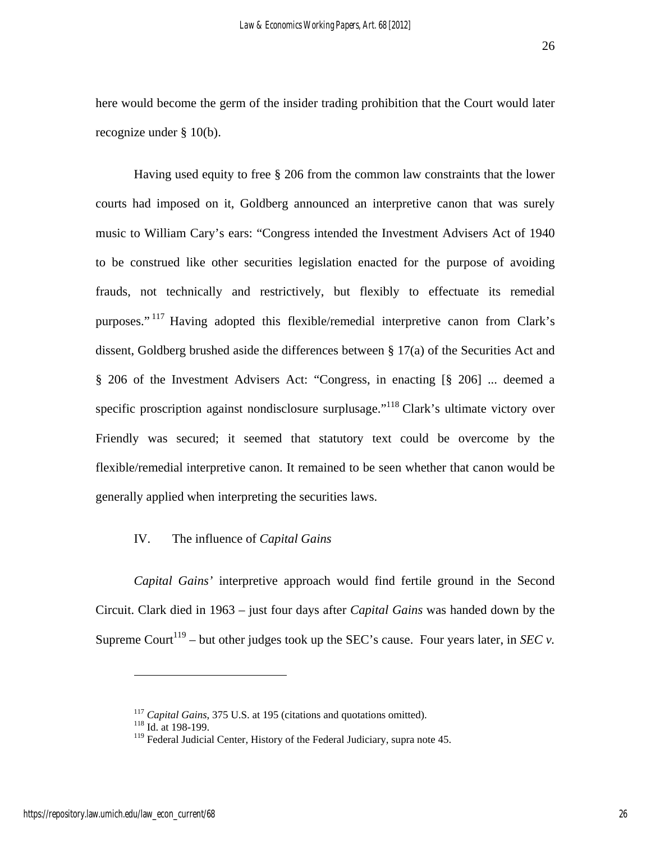here would become the germ of the insider trading prohibition that the Court would later recognize under § 10(b).

Having used equity to free § 206 from the common law constraints that the lower courts had imposed on it, Goldberg announced an interpretive canon that was surely music to William Cary's ears: "Congress intended the Investment Advisers Act of 1940 to be construed like other securities legislation enacted for the purpose of avoiding frauds, not technically and restrictively, but flexibly to effectuate its remedial purposes." 117 Having adopted this flexible/remedial interpretive canon from Clark's dissent, Goldberg brushed aside the differences between § 17(a) of the Securities Act and § 206 of the Investment Advisers Act: "Congress, in enacting [§ 206] ... deemed a specific proscription against nondisclosure surplusage."<sup>118</sup> Clark's ultimate victory over Friendly was secured; it seemed that statutory text could be overcome by the flexible/remedial interpretive canon. It remained to be seen whether that canon would be generally applied when interpreting the securities laws.

## IV. The influence of *Capital Gains*

*Capital Gains'* interpretive approach would find fertile ground in the Second Circuit. Clark died in 1963 – just four days after *Capital Gains* was handed down by the Supreme Court<sup>119</sup> – but other judges took up the SEC's cause. Four years later, in *SEC*  $\nu$ .

<u>.</u>

<sup>&</sup>lt;sup>117</sup> *Capital Gains*, 375 U.S. at 195 (citations and quotations omitted). <sup>118</sup> Id. at 198-199.

<sup>&</sup>lt;sup>119</sup> Federal Judicial Center, History of the Federal Judiciary, supra note 45.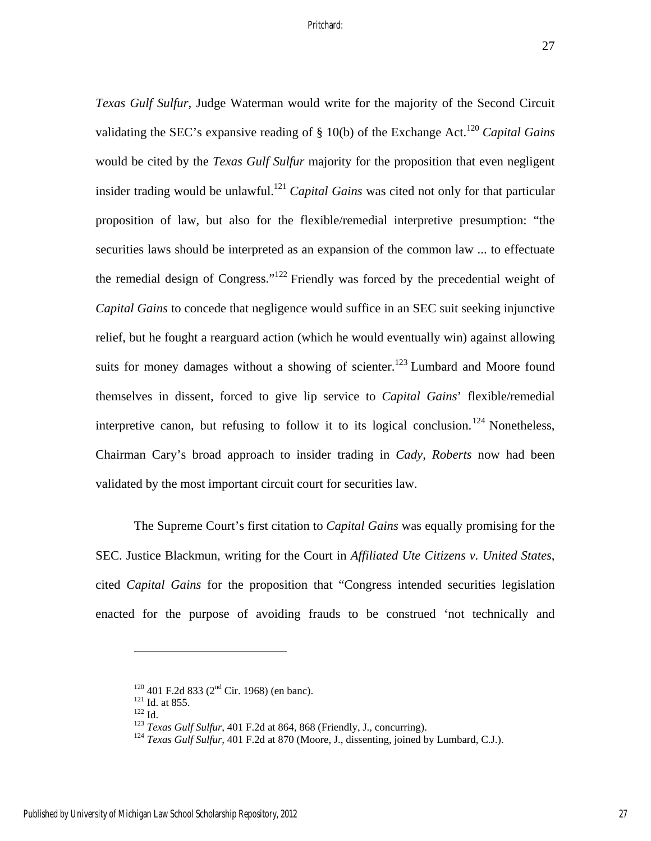*Texas Gulf Sulfur*, Judge Waterman would write for the majority of the Second Circuit validating the SEC's expansive reading of § 10(b) of the Exchange Act.<sup>120</sup> *Capital Gains* would be cited by the *Texas Gulf Sulfur* majority for the proposition that even negligent insider trading would be unlawful.<sup>121</sup> *Capital Gains* was cited not only for that particular proposition of law, but also for the flexible/remedial interpretive presumption: "the securities laws should be interpreted as an expansion of the common law ... to effectuate the remedial design of Congress."122 Friendly was forced by the precedential weight of *Capital Gains* to concede that negligence would suffice in an SEC suit seeking injunctive relief, but he fought a rearguard action (which he would eventually win) against allowing suits for money damages without a showing of scienter.<sup>123</sup> Lumbard and Moore found themselves in dissent, forced to give lip service to *Capital Gains*' flexible/remedial interpretive canon, but refusing to follow it to its logical conclusion.<sup>124</sup> Nonetheless, Chairman Cary's broad approach to insider trading in *Cady, Roberts* now had been validated by the most important circuit court for securities law.

The Supreme Court's first citation to *Capital Gains* was equally promising for the SEC. Justice Blackmun, writing for the Court in *Affiliated Ute Citizens v. United States*, cited *Capital Gains* for the proposition that "Congress intended securities legislation enacted for the purpose of avoiding frauds to be construed 'not technically and

<sup>&</sup>lt;sup>120</sup> 401 F.2d 833 (2<sup>nd</sup> Cir. 1968) (en banc).<br><sup>121</sup> Id. at 855.<br><sup>122</sup> Id.<br><sup>123</sup> Texas Gulf Sulfur, 401 F.2d at 864, 868 (Friendly, J., concurring).<br><sup>124</sup> Texas Gulf Sulfur, 401 F.2d at 870 (Moore, J., dissenting, joined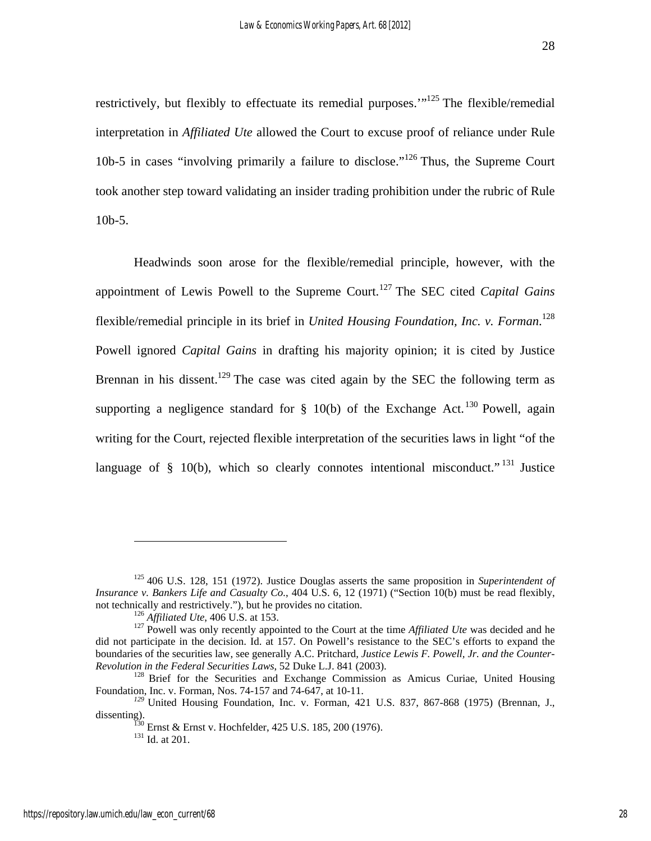restrictively, but flexibly to effectuate its remedial purposes.'"125 The flexible/remedial interpretation in *Affiliated Ute* allowed the Court to excuse proof of reliance under Rule 10b-5 in cases "involving primarily a failure to disclose."<sup>126</sup> Thus, the Supreme Court took another step toward validating an insider trading prohibition under the rubric of Rule 10b-5.

Headwinds soon arose for the flexible/remedial principle, however, with the appointment of Lewis Powell to the Supreme Court.<sup>127</sup> The SEC cited *Capital Gains* flexible/remedial principle in its brief in *United Housing Foundation, Inc. v. Forman*. 128 Powell ignored *Capital Gains* in drafting his majority opinion; it is cited by Justice Brennan in his dissent.<sup>129</sup> The case was cited again by the SEC the following term as supporting a negligence standard for  $\S$  10(b) of the Exchange Act.<sup>130</sup> Powell, again writing for the Court, rejected flexible interpretation of the securities laws in light "of the language of  $\S$  10(b), which so clearly connotes intentional misconduct."<sup>131</sup> Justice

<sup>125 406</sup> U.S. 128, 151 (1972). Justice Douglas asserts the same proposition in *Superintendent of Insurance v. Bankers Life and Casualty Co.*, 404 U.S. 6, 12 (1971) ("Section 10(b) must be read flexibly, not technically and restrictively."), but he provides no citation.<br><sup>126</sup> *Affiliated Ute*, 406 U.S. at 153.<br><sup>127</sup> Powell was only recently appointed to the Court at the time *Affiliated Ute* was decided and he

did not participate in the decision. Id. at 157. On Powell's resistance to the SEC's efforts to expand the boundaries of the securities law, see generally A.C. Pritchard, *Justice Lewis F. Powell, Jr. and the Counter-*

<sup>&</sup>lt;sup>128</sup> Brief for the Securities and Exchange Commission as Amicus Curiae, United Housing Foundation, Inc. v. Forman, Nos. 74-157 and 74-647, at 10-11.

<sup>&</sup>lt;sup>129</sup> United Housing Foundation, Inc. v. Forman, 421 U.S. 837, 867-868 (1975) (Brennan, J., dissenting).

 $d^{130}$  Ernst & Ernst v. Hochfelder, 425 U.S. 185, 200 (1976).  $d^{131}$  Id. at 201.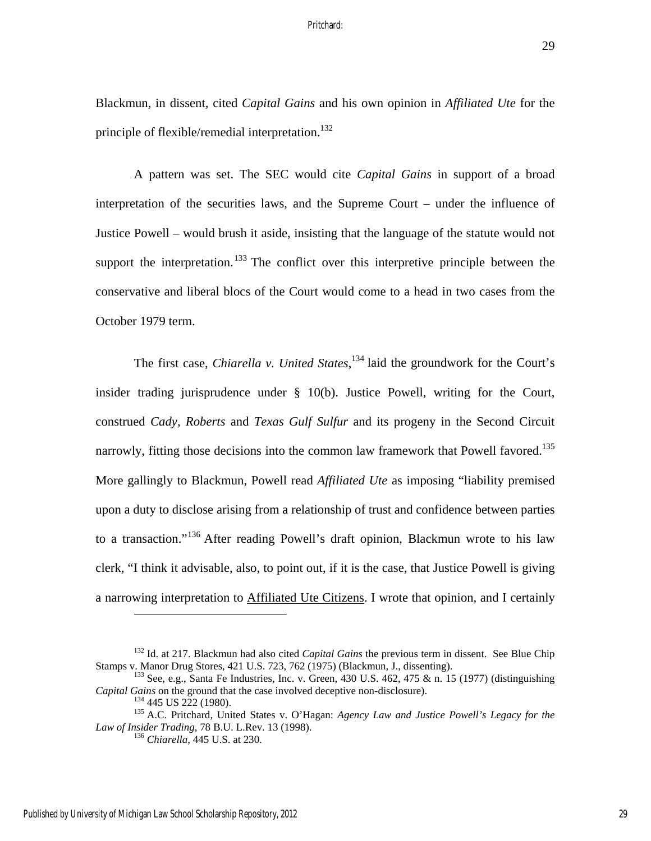29

Blackmun, in dissent, cited *Capital Gains* and his own opinion in *Affiliated Ute* for the principle of flexible/remedial interpretation.<sup>132</sup>

A pattern was set. The SEC would cite *Capital Gains* in support of a broad interpretation of the securities laws, and the Supreme Court – under the influence of Justice Powell – would brush it aside, insisting that the language of the statute would not support the interpretation.<sup>133</sup> The conflict over this interpretive principle between the conservative and liberal blocs of the Court would come to a head in two cases from the October 1979 term.

The first case, *Chiarella v. United States*, 134 laid the groundwork for the Court's insider trading jurisprudence under § 10(b). Justice Powell, writing for the Court, construed *Cady, Roberts* and *Texas Gulf Sulfur* and its progeny in the Second Circuit narrowly, fitting those decisions into the common law framework that Powell favored.<sup>135</sup> More gallingly to Blackmun, Powell read *Affiliated Ute* as imposing "liability premised upon a duty to disclose arising from a relationship of trust and confidence between parties to a transaction."136 After reading Powell's draft opinion, Blackmun wrote to his law clerk, "I think it advisable, also, to point out, if it is the case, that Justice Powell is giving a narrowing interpretation to Affiliated Ute Citizens. I wrote that opinion, and I certainly

<sup>&</sup>lt;sup>132</sup> Id. at 217. Blackmun had also cited *Capital Gains* the previous term in dissent. See Blue Chip Stamps v. Manor Drug Stores, 421 U.S. 723, 762 (1975) (Blackmun, J., dissenting).

<sup>&</sup>lt;sup>133</sup> See, e.g., Santa Fe Industries, Inc. v. Green, 430 U.S. 462, 475 & n. 15 (1977) (distinguishing *Capital Gains* on the ground that the case involved deceptive non-disclosure).

<sup>&</sup>lt;sup>134</sup> 445 US 222 (1980).<br><sup>135</sup> A.C. Pritchard, United States v. O'Hagan: *Agency Law and Justice Powell's Legacy for the Law of Insider Trading*, 78 B.U. L.Rev. 13 (1998). 136 *Chiarella*, 445 U.S. at 230.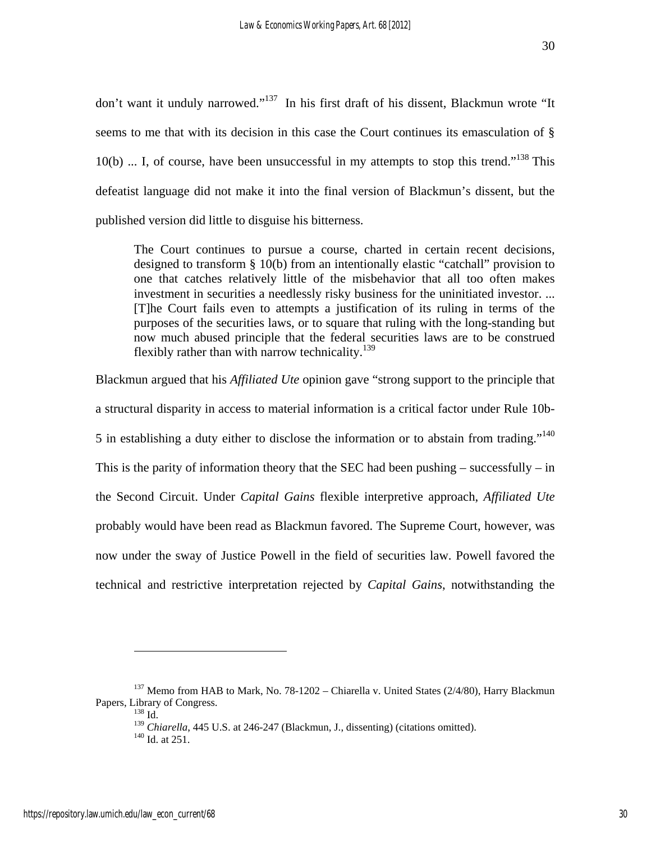don't want it unduly narrowed."<sup>137</sup> In his first draft of his dissent, Blackmun wrote "It seems to me that with its decision in this case the Court continues its emasculation of §  $10(b)$  ... I, of course, have been unsuccessful in my attempts to stop this trend."<sup>138</sup> This defeatist language did not make it into the final version of Blackmun's dissent, but the published version did little to disguise his bitterness.

The Court continues to pursue a course, charted in certain recent decisions, designed to transform § 10(b) from an intentionally elastic "catchall" provision to one that catches relatively little of the misbehavior that all too often makes investment in securities a needlessly risky business for the uninitiated investor. ... [T]he Court fails even to attempts a justification of its ruling in terms of the purposes of the securities laws, or to square that ruling with the long-standing but now much abused principle that the federal securities laws are to be construed flexibly rather than with narrow technicality.<sup>139</sup>

Blackmun argued that his *Affiliated Ute* opinion gave "strong support to the principle that a structural disparity in access to material information is a critical factor under Rule 10b-5 in establishing a duty either to disclose the information or to abstain from trading."<sup>140</sup> This is the parity of information theory that the SEC had been pushing  $-$  successfully  $-$  in the Second Circuit. Under *Capital Gains* flexible interpretive approach, *Affiliated Ute*  probably would have been read as Blackmun favored. The Supreme Court, however, was now under the sway of Justice Powell in the field of securities law. Powell favored the technical and restrictive interpretation rejected by *Capital Gains*, notwithstanding the

<sup>&</sup>lt;sup>137</sup> Memo from HAB to Mark, No. 78-1202 – Chiarella v. United States (2/4/80), Harry Blackmun Papers, Library of Congress.<br>  $^{138}$  Id.

<sup>&</sup>lt;sup>139</sup> *Chiarella*, 445 U.S. at 246-247 (Blackmun, J., dissenting) (citations omitted). <sup>140</sup> Id. at 251.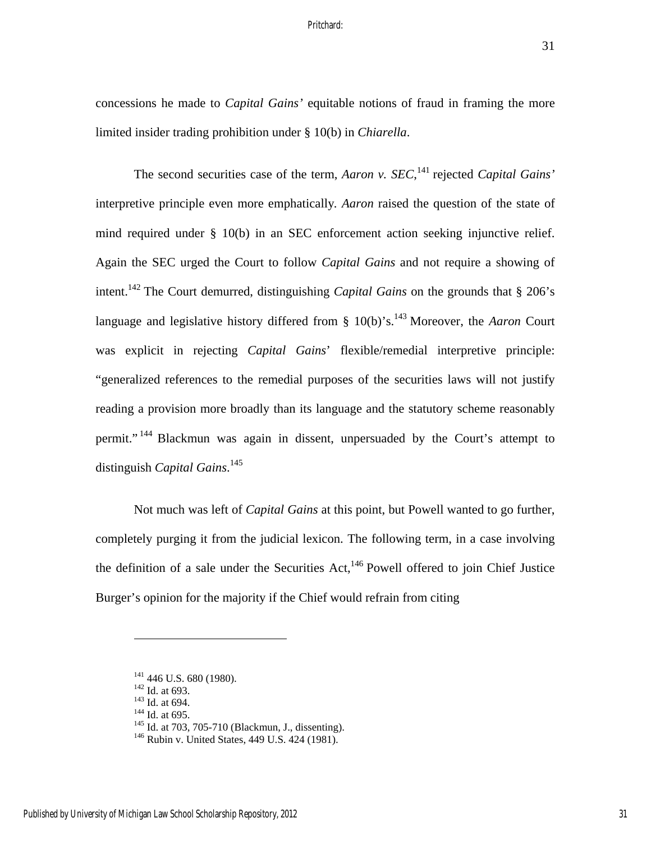concessions he made to *Capital Gains'* equitable notions of fraud in framing the more limited insider trading prohibition under § 10(b) in *Chiarella*.

The second securities case of the term, *Aaron v. SEC*,<sup>141</sup> rejected *Capital Gains'* interpretive principle even more emphatically*. Aaron* raised the question of the state of mind required under § 10(b) in an SEC enforcement action seeking injunctive relief. Again the SEC urged the Court to follow *Capital Gains* and not require a showing of intent.142 The Court demurred, distinguishing *Capital Gains* on the grounds that § 206's language and legislative history differed from  $\S$  10(b)'s.<sup>143</sup> Moreover, the *Aaron* Court was explicit in rejecting *Capital Gains*' flexible/remedial interpretive principle: "generalized references to the remedial purposes of the securities laws will not justify reading a provision more broadly than its language and the statutory scheme reasonably permit."<sup>144</sup> Blackmun was again in dissent, unpersuaded by the Court's attempt to distinguish *Capital Gains*. 145

 Not much was left of *Capital Gains* at this point, but Powell wanted to go further, completely purging it from the judicial lexicon. The following term, in a case involving the definition of a sale under the Securities Act, $^{146}$  Powell offered to join Chief Justice Burger's opinion for the majority if the Chief would refrain from citing

<u>.</u>

<sup>&</sup>lt;sup>141</sup> 446 U.S. 680 (1980).<br><sup>142</sup> Id. at 693.<br><sup>143</sup> Id. at 694.<br><sup>145</sup> Id. at 703, 705-710 (Blackmun, J., dissenting).<br><sup>146</sup> Rubin v. United States, 449 U.S. 424 (1981).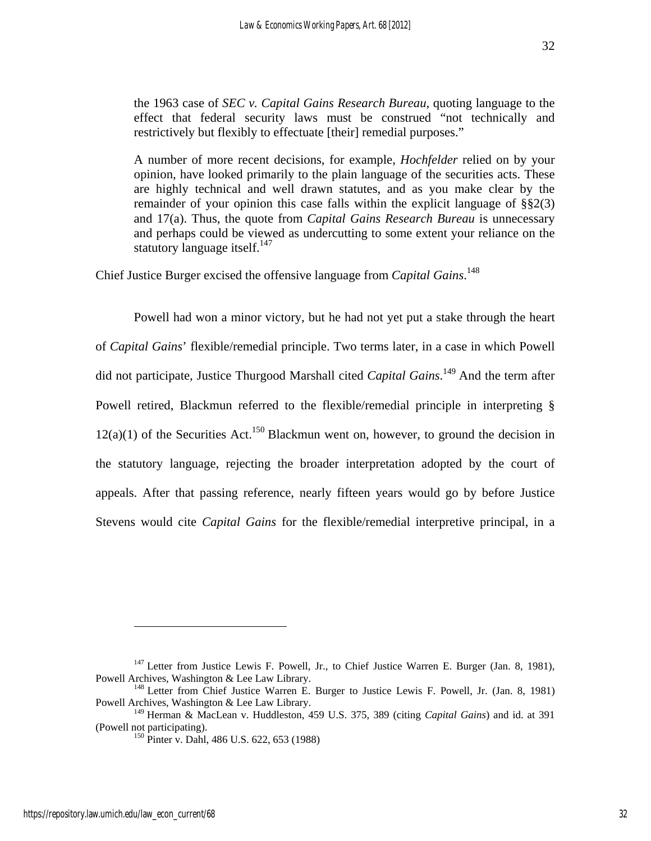the 1963 case of *SEC v. Capital Gains Research Bureau*, quoting language to the effect that federal security laws must be construed "not technically and restrictively but flexibly to effectuate [their] remedial purposes."

A number of more recent decisions, for example, *Hochfelder* relied on by your opinion, have looked primarily to the plain language of the securities acts. These are highly technical and well drawn statutes, and as you make clear by the remainder of your opinion this case falls within the explicit language of §§2(3) and 17(a). Thus, the quote from *Capital Gains Research Bureau* is unnecessary and perhaps could be viewed as undercutting to some extent your reliance on the statutory language itself. $147$ 

Chief Justice Burger excised the offensive language from *Capital Gains*. 148

Powell had won a minor victory, but he had not yet put a stake through the heart of *Capital Gains*' flexible/remedial principle. Two terms later, in a case in which Powell did not participate, Justice Thurgood Marshall cited *Capital Gains*. 149 And the term after Powell retired, Blackmun referred to the flexible/remedial principle in interpreting §  $12(a)(1)$  of the Securities Act.<sup>150</sup> Blackmun went on, however, to ground the decision in the statutory language, rejecting the broader interpretation adopted by the court of appeals. After that passing reference, nearly fifteen years would go by before Justice Stevens would cite *Capital Gains* for the flexible/remedial interpretive principal, in a

<sup>&</sup>lt;sup>147</sup> Letter from Justice Lewis F. Powell, Jr., to Chief Justice Warren E. Burger (Jan. 8, 1981), Powell Archives, Washington & Lee Law Library.

<sup>&</sup>lt;sup>148</sup> Letter from Chief Justice Warren E. Burger to Justice Lewis F. Powell, Jr. (Jan. 8, 1981) Powell Archives, Washington & Lee Law Library.

<sup>149</sup> Herman & MacLean v. Huddleston, 459 U.S. 375, 389 (citing *Capital Gains*) and id. at 391 (Powell not participating). 150 Pinter v. Dahl, 486 U.S. 622, 653 (1988)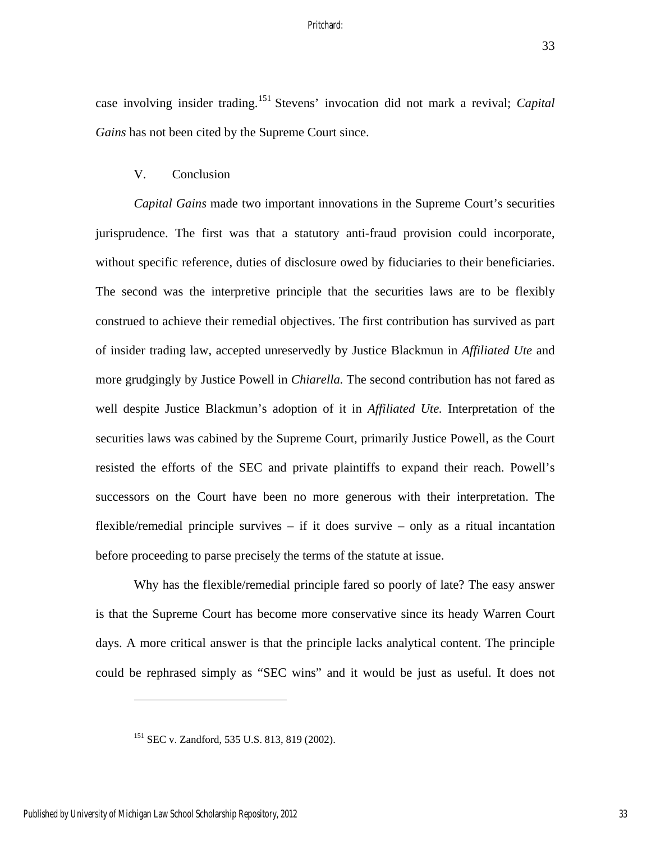33

case involving insider trading.151 Stevens' invocation did not mark a revival; *Capital Gains* has not been cited by the Supreme Court since.

## V. Conclusion

*Capital Gains* made two important innovations in the Supreme Court's securities jurisprudence. The first was that a statutory anti-fraud provision could incorporate, without specific reference, duties of disclosure owed by fiduciaries to their beneficiaries. The second was the interpretive principle that the securities laws are to be flexibly construed to achieve their remedial objectives. The first contribution has survived as part of insider trading law, accepted unreservedly by Justice Blackmun in *Affiliated Ute* and more grudgingly by Justice Powell in *Chiarella.* The second contribution has not fared as well despite Justice Blackmun's adoption of it in *Affiliated Ute.* Interpretation of the securities laws was cabined by the Supreme Court, primarily Justice Powell, as the Court resisted the efforts of the SEC and private plaintiffs to expand their reach. Powell's successors on the Court have been no more generous with their interpretation. The flexible/remedial principle survives – if it does survive – only as a ritual incantation before proceeding to parse precisely the terms of the statute at issue.

Why has the flexible/remedial principle fared so poorly of late? The easy answer is that the Supreme Court has become more conservative since its heady Warren Court days. A more critical answer is that the principle lacks analytical content. The principle could be rephrased simply as "SEC wins" and it would be just as useful. It does not

<sup>151</sup> SEC v. Zandford, 535 U.S. 813, 819 (2002).